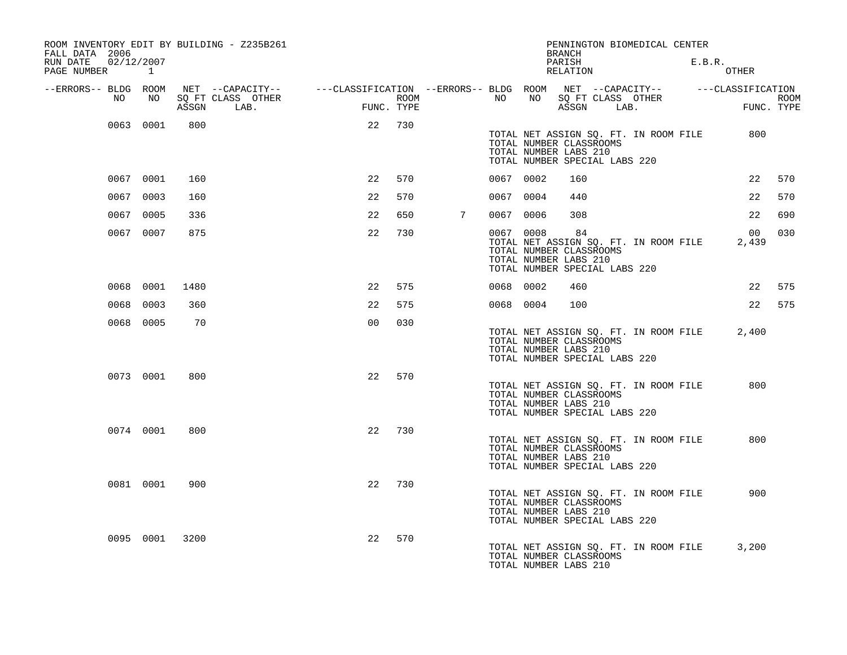| ROOM INVENTORY EDIT BY BUILDING - Z235B261<br>FALL DATA 2006 |                               |       |                           |                                                                             |                    |                 |           |                                                                                   | BRANCH             |      | PENNINGTON BIOMEDICAL CENTER          |        |             |                           |
|--------------------------------------------------------------|-------------------------------|-------|---------------------------|-----------------------------------------------------------------------------|--------------------|-----------------|-----------|-----------------------------------------------------------------------------------|--------------------|------|---------------------------------------|--------|-------------|---------------------------|
| RUN DATE<br>PAGE NUMBER                                      | 02/12/2007<br>$\sim$ $\sim$ 1 |       |                           |                                                                             |                    |                 |           |                                                                                   | PARISH<br>RELATION |      |                                       | E.B.R. | OTHER       |                           |
| --ERRORS-- BLDG ROOM                                         |                               |       | NET --CAPACITY--          | ---CLASSIFICATION --ERRORS-- BLDG ROOM NET --CAPACITY--   ---CLASSIFICATION |                    |                 |           |                                                                                   |                    |      |                                       |        |             |                           |
| NO                                                           | NO                            | ASSGN | SO FT CLASS OTHER<br>LAB. |                                                                             | ROOM<br>FUNC. TYPE |                 | NO        | NO                                                                                | ASSGN              | LAB. | SQ FT CLASS OTHER                     |        |             | <b>ROOM</b><br>FUNC. TYPE |
|                                                              | 0063 0001                     | 800   |                           | 22                                                                          | 730                |                 |           | TOTAL NUMBER CLASSROOMS<br>TOTAL NUMBER LABS 210<br>TOTAL NUMBER SPECIAL LABS 220 |                    |      | TOTAL NET ASSIGN SQ. FT. IN ROOM FILE |        | 800         |                           |
|                                                              | 0067 0001                     | 160   |                           | 22                                                                          | 570                |                 | 0067 0002 |                                                                                   | 160                |      |                                       |        | 22          | 570                       |
|                                                              | 0067 0003                     | 160   |                           | 22                                                                          | 570                |                 | 0067 0004 |                                                                                   | 440                |      |                                       |        | 22          | 570                       |
|                                                              | 0067 0005                     | 336   |                           | 22                                                                          | 650                | $7\overline{ }$ | 0067 0006 |                                                                                   | 308                |      |                                       |        | 22          | 690                       |
|                                                              | 0067 0007                     | 875   |                           | 22                                                                          | 730                |                 | 0067 0008 | TOTAL NUMBER CLASSROOMS<br>TOTAL NUMBER LABS 210<br>TOTAL NUMBER SPECIAL LABS 220 | 84                 |      | TOTAL NET ASSIGN SQ. FT. IN ROOM FILE |        | 00<br>2,439 | 030                       |
|                                                              | 0068 0001                     | 1480  |                           | 22                                                                          | 575                |                 | 0068 0002 |                                                                                   | 460                |      |                                       |        | 22          | 575                       |
|                                                              | 0068 0003                     | 360   |                           | 22                                                                          | 575                |                 | 0068 0004 |                                                                                   | 100                |      |                                       |        | 22          | 575                       |
|                                                              | 0068 0005                     | 70    |                           | 0 <sub>0</sub>                                                              | 030                |                 |           | TOTAL NUMBER CLASSROOMS<br>TOTAL NUMBER LABS 210<br>TOTAL NUMBER SPECIAL LABS 220 |                    |      | TOTAL NET ASSIGN SQ. FT. IN ROOM FILE |        | 2,400       |                           |
|                                                              | 0073 0001                     | 800   |                           | 22                                                                          | 570                |                 |           | TOTAL NUMBER CLASSROOMS<br>TOTAL NUMBER LABS 210<br>TOTAL NUMBER SPECIAL LABS 220 |                    |      | TOTAL NET ASSIGN SQ. FT. IN ROOM FILE |        | 800         |                           |
|                                                              | 0074 0001                     | 800   |                           | 22                                                                          | 730                |                 |           | TOTAL NUMBER CLASSROOMS<br>TOTAL NUMBER LABS 210<br>TOTAL NUMBER SPECIAL LABS 220 |                    |      | TOTAL NET ASSIGN SO. FT. IN ROOM FILE |        | 800         |                           |
|                                                              | 0081 0001                     | 900   |                           | 22                                                                          | 730                |                 |           | TOTAL NUMBER CLASSROOMS<br>TOTAL NUMBER LABS 210<br>TOTAL NUMBER SPECIAL LABS 220 |                    |      | TOTAL NET ASSIGN SQ. FT. IN ROOM FILE |        | 900         |                           |
|                                                              | 0095 0001                     | 3200  |                           | 22                                                                          | 570                |                 |           | TOTAL NUMBER CLASSROOMS<br>TOTAL NUMBER LABS 210                                  |                    |      | TOTAL NET ASSIGN SQ. FT. IN ROOM FILE |        | 3,200       |                           |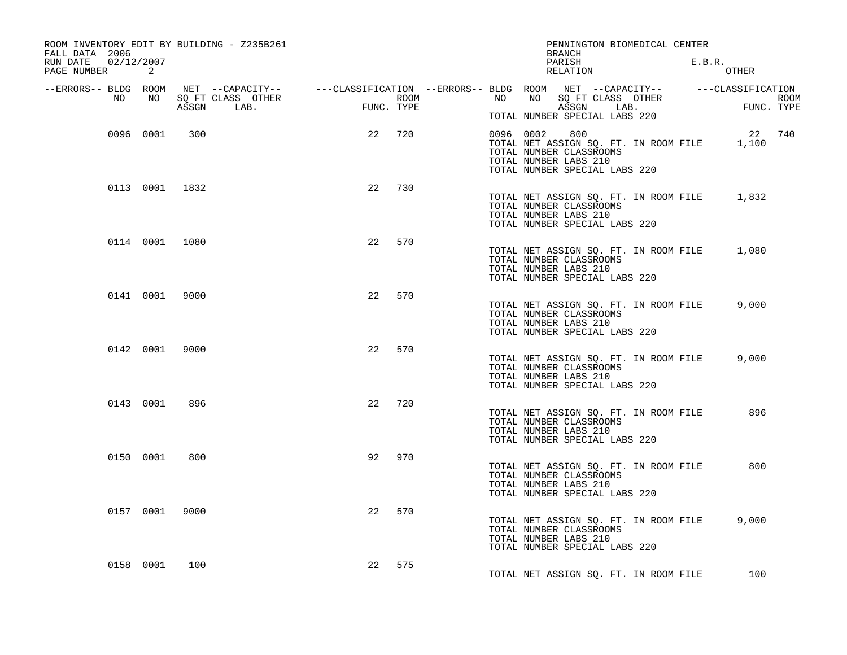| ROOM INVENTORY EDIT BY BUILDING - Z235B261<br>FALL DATA 2006 |                                 |            | PENNINGTON BIOMEDICAL CENTER<br>BRANCH                                                                                                               |                                              |
|--------------------------------------------------------------|---------------------------------|------------|------------------------------------------------------------------------------------------------------------------------------------------------------|----------------------------------------------|
| RUN DATE 02/12/2007<br>PAGE NUMBER<br>2                      |                                 |            | PARISH<br>RELATION                                                                                                                                   | E.B.R.<br>OTHER                              |
| --ERRORS-- BLDG ROOM<br>NO .<br>NO                           |                                 |            | NET --CAPACITY--    ---CLASSIFICATION --ERRORS-- BLDG ROOM NET --CAPACITY--    ---CLASSIFICATION<br>NO<br>NO                                         |                                              |
|                                                              | SQ FT CLASS OTHER<br>ASSGN LAB. | FUNC. TYPE | SQ FT CLASS OTHER<br>ROOM <b>ROOM</b><br>ASSGN LAB.<br>TOTAL NUMBER SPECIAL LABS 220                                                                 | $\overline{FU}$<br><b>ROOM</b><br>FUNC. TYPE |
| 0096 0001                                                    | 300                             | 22<br>720  | 0096 0002<br>800<br>TOTAL NET ASSIGN SQ. FT. IN ROOM FILE 1,100<br>TOTAL NUMBER CLASSROOMS<br>TOTAL NUMBER LABS 210<br>TOTAL NUMBER SPECIAL LABS 220 | 22 740                                       |
| 0113 0001 1832                                               |                                 | 22<br>730  | TOTAL NET ASSIGN SQ. FT. IN ROOM FILE<br>TOTAL NUMBER CLASSROOMS<br>TOTAL NUMBER LABS 210<br>TOTAL NUMBER SPECIAL LABS 220                           | 1,832                                        |
| 0114 0001 1080                                               |                                 | 22<br>570  | TOTAL NET ASSIGN SQ. FT. IN ROOM FILE<br>TOTAL NUMBER CLASSROOMS<br>TOTAL NUMBER LABS 210<br>TOTAL NUMBER SPECIAL LABS 220                           | 1,080                                        |
| 0141 0001 9000                                               |                                 | 22<br>570  | TOTAL NET ASSIGN SQ. FT. IN ROOM FILE<br>TOTAL NUMBER CLASSROOMS<br>TOTAL NUMBER LABS 210<br>TOTAL NUMBER SPECIAL LABS 220                           | 9,000                                        |
| 0142 0001 9000                                               |                                 | 22<br>570  | TOTAL NET ASSIGN SQ. FT. IN ROOM FILE<br>TOTAL NUMBER CLASSROOMS<br>TOTAL NUMBER LABS 210<br>TOTAL NUMBER SPECIAL LABS 220                           | 9,000                                        |
| 0143 0001                                                    | 896                             | 22<br>720  | TOTAL NET ASSIGN SQ. FT. IN ROOM FILE<br>TOTAL NUMBER CLASSROOMS<br>TOTAL NUMBER LABS 210<br>TOTAL NUMBER SPECIAL LABS 220                           | 896                                          |
| 0150 0001                                                    | 800                             | 970<br>92  | TOTAL NET ASSIGN SQ. FT. IN ROOM FILE<br>TOTAL NUMBER CLASSROOMS<br>TOTAL NUMBER LABS 210<br>TOTAL NUMBER SPECIAL LABS 220                           | 800                                          |
| 0157 0001                                                    | 9000                            | 22<br>570  | TOTAL NET ASSIGN SQ. FT. IN ROOM FILE<br>TOTAL NUMBER CLASSROOMS<br>TOTAL NUMBER LABS 210<br>TOTAL NUMBER SPECIAL LABS 220                           | 9,000                                        |
| 0158 0001                                                    | 100                             | 22<br>575  | TOTAL NET ASSIGN SQ. FT. IN ROOM FILE                                                                                                                | 100                                          |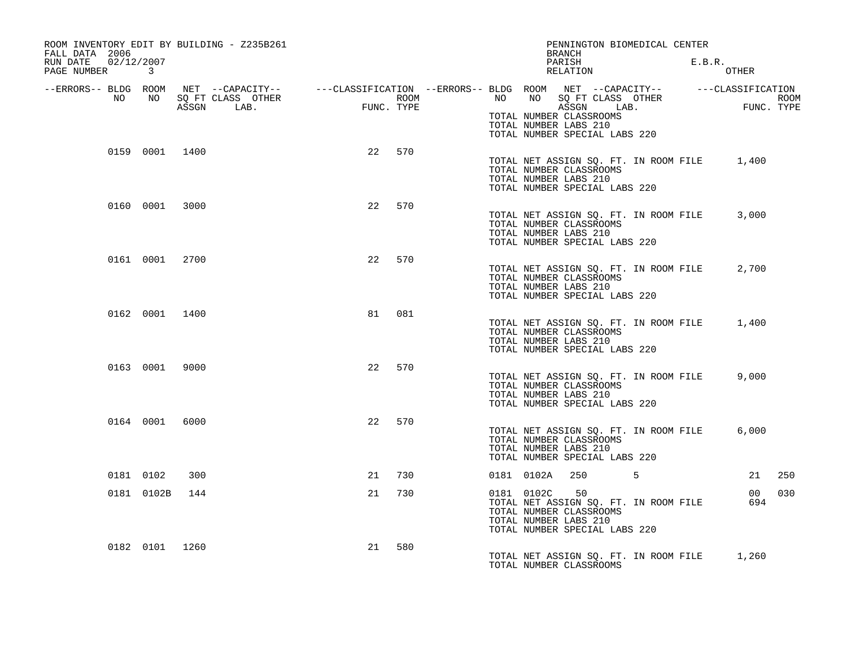| ROOM INVENTORY EDIT BY BUILDING - Z235B261<br>FALL DATA 2006 |                   |                           |      | PENNINGTON BIOMEDICAL CENTER<br>BRANCH                                                                                                         |                               |
|--------------------------------------------------------------|-------------------|---------------------------|------|------------------------------------------------------------------------------------------------------------------------------------------------|-------------------------------|
| 02/12/2007<br>RUN DATE<br>PAGE NUMBER 3                      |                   |                           |      | PARISH<br>RELATION                                                                                                                             | E.B.R.<br>OTHER               |
| --ERRORS-- BLDG ROOM<br>NO<br>NO                             | SQ FT CLASS OTHER |                           | ROOM | NET --CAPACITY-- - ---CLASSIFICATION --ERRORS-- BLDG ROOM NET --CAPACITY-- - ---CLASSIFICATION<br>NO<br>NO 11<br>SQ FT CLASS OTHER             | ROOM                          |
|                                                              | LAB.<br>ASSGN     | <b>FUNC</b><br>FUNC. TYPE |      | ASSGN LAB.<br>TOTAL NUMBER CLASSROOMS<br>TOTAL NUMBER LABS 210<br>TOTAL NUMBER SPECIAL LABS 220                                                | FUNC. TYPE                    |
| 0159 0001 1400                                               |                   | 22                        | 570  | TOTAL NET ASSIGN SQ. FT. IN ROOM FILE<br>TOTAL NUMBER CLASSROOMS<br>TOTAL NUMBER LABS 210<br>TOTAL NUMBER SPECIAL LABS 220                     | 1,400                         |
| 0160 0001 3000                                               |                   | 22                        | 570  | TOTAL NET ASSIGN SQ. FT. IN ROOM FILE<br>TOTAL NUMBER CLASSROOMS<br>TOTAL NUMBER LABS 210<br>TOTAL NUMBER SPECIAL LABS 220                     | 3,000                         |
| 0161 0001 2700                                               |                   | 22                        | 570  | TOTAL NET ASSIGN SQ. FT. IN ROOM FILE<br>TOTAL NUMBER CLASSROOMS<br>TOTAL NUMBER LABS 210<br>TOTAL NUMBER SPECIAL LABS 220                     | 2,700                         |
| 0162 0001 1400                                               |                   | 81                        | 081  | TOTAL NET ASSIGN SQ. FT. IN ROOM FILE<br>TOTAL NUMBER CLASSROOMS<br>TOTAL NUMBER LABS 210<br>TOTAL NUMBER SPECIAL LABS 220                     | 1,400                         |
| 0163 0001                                                    | 9000              | 22                        | 570  | TOTAL NET ASSIGN SQ. FT. IN ROOM FILE<br>TOTAL NUMBER CLASSROOMS<br>TOTAL NUMBER LABS 210<br>TOTAL NUMBER SPECIAL LABS 220                     | 9,000                         |
| 0164 0001 6000                                               |                   | 22                        | 570  | TOTAL NET ASSIGN SQ. FT. IN ROOM FILE<br>TOTAL NUMBER CLASSROOMS<br>TOTAL NUMBER LABS 210<br>TOTAL NUMBER SPECIAL LABS 220                     | 6,000                         |
| 0181 0102                                                    | 300               | 21                        | 730  | 5<br>0181 0102A<br>250                                                                                                                         | 21<br>250                     |
| 0181 0102B                                                   | 144               | 21                        | 730  | 0181 0102C<br>50<br>TOTAL NET ASSIGN SQ. FT. IN ROOM FILE<br>TOTAL NUMBER CLASSROOMS<br>TOTAL NUMBER LABS 210<br>TOTAL NUMBER SPECIAL LABS 220 | 030<br>00 <sup>o</sup><br>694 |
| 0182 0101 1260                                               |                   | 21                        | 580  | TOTAL NET ASSIGN SQ. FT. IN ROOM FILE<br>TOTAL NUMBER CLASSROOMS                                                                               | 1,260                         |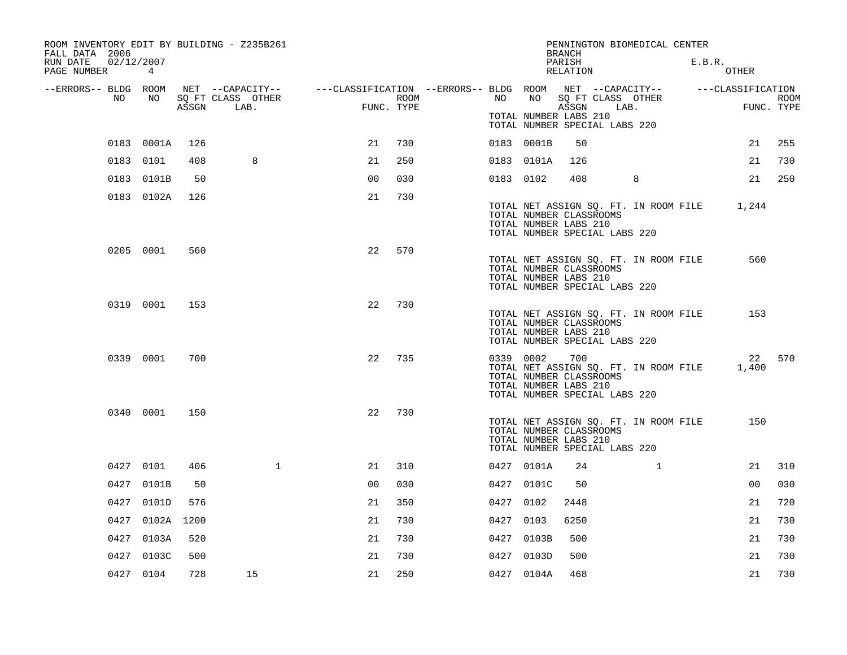| ROOM INVENTORY EDIT BY BUILDING - Z235B261<br>FALL DATA 2006 |                 |       |                           |                                                                                                |            |           |                                                                                   | <b>BRANCH</b>      | PENNINGTON BIOMEDICAL CENTER          |        |                |             |
|--------------------------------------------------------------|-----------------|-------|---------------------------|------------------------------------------------------------------------------------------------|------------|-----------|-----------------------------------------------------------------------------------|--------------------|---------------------------------------|--------|----------------|-------------|
| RUN DATE<br>02/12/2007<br>PAGE NUMBER                        | $4\overline{ }$ |       |                           |                                                                                                |            |           |                                                                                   | PARISH<br>RELATION |                                       | E.B.R. | <b>OTHER</b>   |             |
| --ERRORS-- BLDG ROOM<br>NO                                   | NO              |       |                           | NET --CAPACITY-- - ---CLASSIFICATION --ERRORS-- BLDG ROOM NET --CAPACITY-- - ---CLASSIFICATION | ROOM       | NO        | NO                                                                                |                    |                                       |        |                | <b>ROOM</b> |
|                                                              |                 | ASSGN | SQ FT CLASS OTHER<br>LAB. |                                                                                                | FUNC. TYPE |           | TOTAL NUMBER LABS 210<br>TOTAL NUMBER SPECIAL LABS 220                            | ASSGN              | SQ FT CLASS OTHER<br>LAB.             |        |                | FUNC. TYPE  |
|                                                              | 0183 0001A      | 126   |                           | 21                                                                                             | 730        |           | 0183 0001B                                                                        | 50                 |                                       |        | 21             | 255         |
|                                                              | 0183 0101       | 408   | 8                         | 21                                                                                             | 250        |           | 0183 0101A                                                                        | 126                |                                       |        | 21             | 730         |
|                                                              | 0183 0101B      | 50    |                           | 0 <sub>0</sub>                                                                                 | 030        | 0183 0102 |                                                                                   | 408                | 8                                     |        | 21             | 250         |
|                                                              | 0183 0102A      | 126   |                           | 21                                                                                             | 730        |           | TOTAL NUMBER CLASSROOMS<br>TOTAL NUMBER LABS 210<br>TOTAL NUMBER SPECIAL LABS 220 |                    | TOTAL NET ASSIGN SQ. FT. IN ROOM FILE |        | 1,244          |             |
|                                                              | 0205 0001       | 560   |                           | 22                                                                                             | 570        |           | TOTAL NUMBER CLASSROOMS<br>TOTAL NUMBER LABS 210<br>TOTAL NUMBER SPECIAL LABS 220 |                    | TOTAL NET ASSIGN SQ. FT. IN ROOM FILE |        | 560            |             |
|                                                              | 0319 0001       | 153   |                           | 22                                                                                             | 730        |           | TOTAL NUMBER CLASSROOMS<br>TOTAL NUMBER LABS 210<br>TOTAL NUMBER SPECIAL LABS 220 |                    | TOTAL NET ASSIGN SQ. FT. IN ROOM FILE |        | 153            |             |
|                                                              | 0339 0001       | 700   |                           | 22                                                                                             | 735        | 0339 0002 | TOTAL NUMBER CLASSROOMS<br>TOTAL NUMBER LABS 210<br>TOTAL NUMBER SPECIAL LABS 220 | 700                | TOTAL NET ASSIGN SQ. FT. IN ROOM FILE |        | 1,400          | 22 570      |
|                                                              | 0340 0001       | 150   |                           | 22                                                                                             | 730        |           | TOTAL NUMBER CLASSROOMS<br>TOTAL NUMBER LABS 210<br>TOTAL NUMBER SPECIAL LABS 220 |                    | TOTAL NET ASSIGN SQ. FT. IN ROOM FILE |        | 150            |             |
|                                                              | 0427 0101       | 406   | $\mathbf{1}$              | 21                                                                                             | 310        |           | 0427 0101A                                                                        | 24                 | $\mathbf{1}$                          |        | 21             | 310         |
|                                                              | 0427 0101B      | 50    |                           | 0 <sub>0</sub>                                                                                 | 030        |           | 0427 0101C                                                                        | 50                 |                                       |        | 0 <sub>0</sub> | 030         |
|                                                              | 0427 0101D      | 576   |                           | 21                                                                                             | 350        | 0427 0102 |                                                                                   | 2448               |                                       |        | 21             | 720         |
|                                                              | 0427 0102A      | 1200  |                           | 21                                                                                             | 730        | 0427 0103 |                                                                                   | 6250               |                                       |        | 21             | 730         |
|                                                              | 0427 0103A      | 520   |                           | 21                                                                                             | 730        |           | 0427 0103B                                                                        | 500                |                                       |        | 21             | 730         |
| 0427                                                         | 0103C           | 500   |                           | 21                                                                                             | 730        |           | 0427 0103D                                                                        | 500                |                                       |        | 21             | 730         |
|                                                              | 0427 0104       | 728   | 15                        | 21                                                                                             | 250        |           | 0427 0104A                                                                        | 468                |                                       |        | 21             | 730         |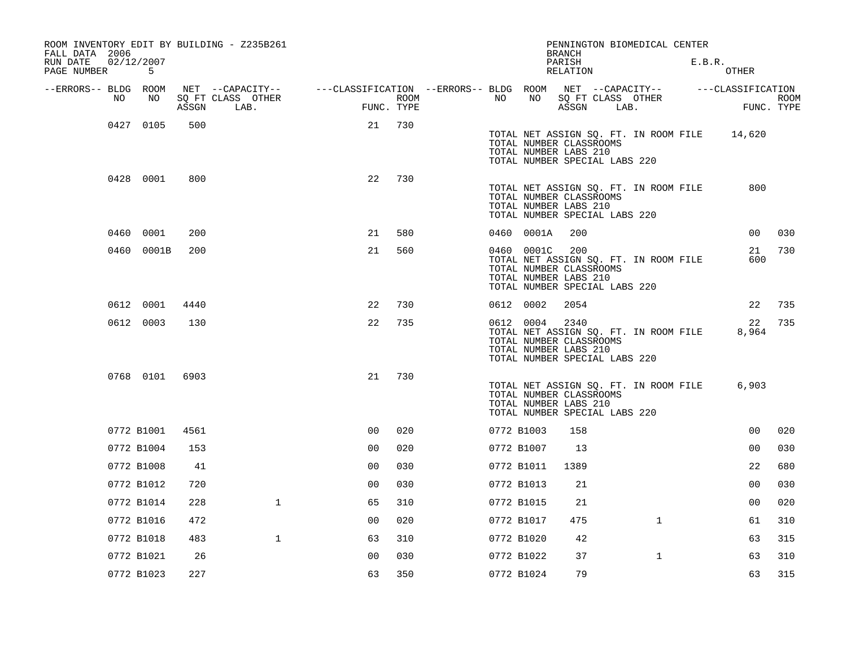| ROOM INVENTORY EDIT BY BUILDING - Z235B261<br>FALL DATA 2006 |                 |       |                                       |                                                         |                |      |    |                                                                                                 | <b>BRANCH</b>              |      | PENNINGTON BIOMEDICAL CENTER          |        |                   |             |
|--------------------------------------------------------------|-----------------|-------|---------------------------------------|---------------------------------------------------------|----------------|------|----|-------------------------------------------------------------------------------------------------|----------------------------|------|---------------------------------------|--------|-------------------|-------------|
| RUN DATE<br>PAGE NUMBER                                      | 02/12/2007<br>5 |       |                                       |                                                         |                |      |    |                                                                                                 | PARISH<br>RELATION         |      |                                       | E.B.R. | OTHER             |             |
| --ERRORS-- BLDG ROOM                                         |                 |       | NET --CAPACITY--<br>SO FT CLASS OTHER | ---CLASSIFICATION --ERRORS-- BLDG ROOM NET --CAPACITY-- |                |      |    | NO                                                                                              |                            |      |                                       |        | ---CLASSIFICATION |             |
| NO                                                           | NO              | ASSGN | LAB.                                  |                                                         | FUNC. TYPE     | ROOM | NO |                                                                                                 | SQ FT CLASS OTHER<br>ASSGN | LAB. |                                       |        | FUNC. TYPE        | <b>ROOM</b> |
|                                                              | 0427 0105       | 500   |                                       |                                                         | 21             | 730  |    | TOTAL NUMBER CLASSROOMS<br>TOTAL NUMBER LABS 210<br>TOTAL NUMBER SPECIAL LABS 220               |                            |      | TOTAL NET ASSIGN SQ. FT. IN ROOM FILE |        | 14,620            |             |
|                                                              | 0428 0001       | 800   |                                       |                                                         | 22             | 730  |    | TOTAL NUMBER CLASSROOMS<br>TOTAL NUMBER LABS 210<br>TOTAL NUMBER SPECIAL LABS 220               |                            |      | TOTAL NET ASSIGN SQ. FT. IN ROOM FILE |        | 800               |             |
|                                                              | 0460 0001       | 200   |                                       |                                                         | 21             | 580  |    | 0460 0001A                                                                                      | 200                        |      |                                       |        | 00                | 030         |
|                                                              | 0460 0001B      | 200   |                                       |                                                         | 21             | 560  |    | 0460 0001C<br>TOTAL NUMBER CLASSROOMS<br>TOTAL NUMBER LABS 210<br>TOTAL NUMBER SPECIAL LABS 220 | 200                        |      | TOTAL NET ASSIGN SQ. FT. IN ROOM FILE |        | 21<br>600         | 730         |
|                                                              | 0612 0001       | 4440  |                                       |                                                         | 22             | 730  |    | 0612 0002                                                                                       | 2054                       |      |                                       |        | 22                | 735         |
|                                                              | 0612 0003       | 130   |                                       |                                                         | 22             | 735  |    | 0612 0004<br>TOTAL NUMBER CLASSROOMS<br>TOTAL NUMBER LABS 210<br>TOTAL NUMBER SPECIAL LABS 220  | 2340                       |      | TOTAL NET ASSIGN SQ. FT. IN ROOM FILE |        | 22<br>8,964       | 735         |
|                                                              | 0768 0101       | 6903  |                                       |                                                         | 21             | 730  |    | TOTAL NUMBER CLASSROOMS<br>TOTAL NUMBER LABS 210<br>TOTAL NUMBER SPECIAL LABS 220               |                            |      | TOTAL NET ASSIGN SQ. FT. IN ROOM FILE |        | 6,903             |             |
|                                                              | 0772 B1001      | 4561  |                                       |                                                         | 0 <sup>0</sup> | 020  |    | 0772 B1003                                                                                      | 158                        |      |                                       |        | 0 <sub>0</sub>    | 020         |
|                                                              | 0772 B1004      | 153   |                                       |                                                         | 0 <sub>0</sub> | 020  |    | 0772 B1007                                                                                      | 13                         |      |                                       |        | 0 <sub>0</sub>    | 030         |
|                                                              | 0772 B1008      | 41    |                                       |                                                         | 0 <sub>0</sub> | 030  |    | 0772 B1011                                                                                      | 1389                       |      |                                       |        | 22                | 680         |
|                                                              | 0772 B1012      | 720   |                                       |                                                         | 0 <sub>0</sub> | 030  |    | 0772 B1013                                                                                      | 21                         |      |                                       |        | 0 <sub>0</sub>    | 030         |
|                                                              | 0772 B1014      | 228   | $\mathbf{1}$                          |                                                         | 65             | 310  |    | 0772 B1015                                                                                      | 21                         |      |                                       |        | 0 <sub>0</sub>    | 020         |
|                                                              | 0772 B1016      | 472   |                                       |                                                         | 0 <sub>0</sub> | 020  |    | 0772 B1017                                                                                      | 475                        |      | $\mathbf{1}$                          |        | 61                | 310         |
|                                                              | 0772 B1018      | 483   | $\mathbf{1}$                          |                                                         | 63             | 310  |    | 0772 B1020                                                                                      | 42                         |      |                                       |        | 63                | 315         |
|                                                              | 0772 B1021      | 26    |                                       |                                                         | 0 <sub>0</sub> | 030  |    | 0772 B1022                                                                                      | 37                         |      | $\mathbf{1}$                          |        | 63                | 310         |
|                                                              | 0772 B1023      | 227   |                                       |                                                         | 63             | 350  |    | 0772 B1024                                                                                      | 79                         |      |                                       |        | 63                | 315         |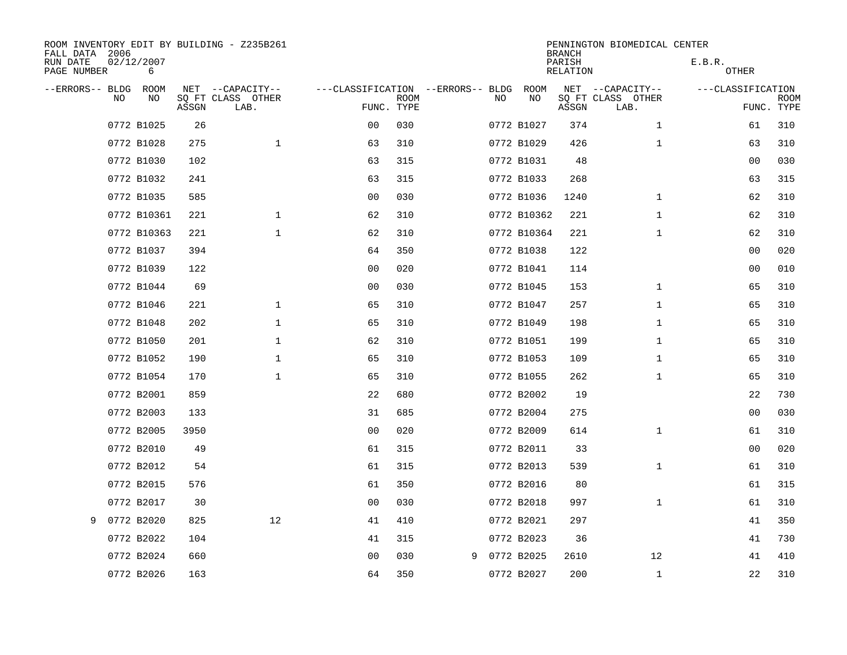| FALL DATA 2006          |           |                 |       | ROOM INVENTORY EDIT BY BUILDING - Z235B261 |                                   |             |   |     |             | <b>BRANCH</b>      | PENNINGTON BIOMEDICAL CENTER |                        |                           |
|-------------------------|-----------|-----------------|-------|--------------------------------------------|-----------------------------------|-------------|---|-----|-------------|--------------------|------------------------------|------------------------|---------------------------|
| RUN DATE<br>PAGE NUMBER |           | 02/12/2007<br>6 |       |                                            |                                   |             |   |     |             | PARISH<br>RELATION |                              | E.B.R.<br><b>OTHER</b> |                           |
| --ERRORS-- BLDG         |           | ROOM            |       | NET --CAPACITY--                           | ---CLASSIFICATION --ERRORS-- BLDG |             |   |     | ROOM        |                    | NET --CAPACITY--             | ---CLASSIFICATION      |                           |
|                         | <b>NO</b> | NO.             | ASSGN | SO FT CLASS OTHER<br>LAB.                  | FUNC. TYPE                        | <b>ROOM</b> |   | NO. | NO          | ASSGN              | SQ FT CLASS OTHER<br>LAB.    |                        | <b>ROOM</b><br>FUNC. TYPE |
|                         |           | 0772 B1025      | 26    |                                            | 0 <sub>0</sub>                    | 030         |   |     | 0772 B1027  | 374                | $\mathbf{1}$                 | 61                     | 310                       |
|                         |           | 0772 B1028      | 275   | $\mathbf{1}$                               | 63                                | 310         |   |     | 0772 B1029  | 426                | $\mathbf{1}$                 | 63                     | 310                       |
|                         |           | 0772 B1030      | 102   |                                            | 63                                | 315         |   |     | 0772 B1031  | 48                 |                              | 00                     | 030                       |
|                         |           | 0772 B1032      | 241   |                                            | 63                                | 315         |   |     | 0772 B1033  | 268                |                              | 63                     | 315                       |
|                         |           | 0772 B1035      | 585   |                                            | 0 <sub>0</sub>                    | 030         |   |     | 0772 B1036  | 1240               | $\mathbf{1}$                 | 62                     | 310                       |
|                         |           | 0772 B10361     | 221   | $\mathbf 1$                                | 62                                | 310         |   |     | 0772 B10362 | 221                | $\mathbf{1}$                 | 62                     | 310                       |
|                         |           | 0772 B10363     | 221   | $\mathbf{1}$                               | 62                                | 310         |   |     | 0772 B10364 | 221                | $\mathbf{1}$                 | 62                     | 310                       |
|                         |           | 0772 B1037      | 394   |                                            | 64                                | 350         |   |     | 0772 B1038  | 122                |                              | 00                     | 020                       |
|                         |           | 0772 B1039      | 122   |                                            | 0 <sub>0</sub>                    | 020         |   |     | 0772 B1041  | 114                |                              | 0 <sub>0</sub>         | 010                       |
|                         |           | 0772 B1044      | 69    |                                            | 0 <sub>0</sub>                    | 030         |   |     | 0772 B1045  | 153                | $\mathbf{1}$                 | 65                     | 310                       |
|                         |           | 0772 B1046      | 221   | $\mathbf{1}$                               | 65                                | 310         |   |     | 0772 B1047  | 257                | $\mathbf{1}$                 | 65                     | 310                       |
|                         |           | 0772 B1048      | 202   | $\mathbf{1}$                               | 65                                | 310         |   |     | 0772 B1049  | 198                | $\mathbf{1}$                 | 65                     | 310                       |
|                         |           | 0772 B1050      | 201   | $\mathbf 1$                                | 62                                | 310         |   |     | 0772 B1051  | 199                | $\mathbf{1}$                 | 65                     | 310                       |
|                         |           | 0772 B1052      | 190   | $\mathbf 1$                                | 65                                | 310         |   |     | 0772 B1053  | 109                | $\mathbf{1}$                 | 65                     | 310                       |
|                         |           | 0772 B1054      | 170   | $\mathbf{1}$                               | 65                                | 310         |   |     | 0772 B1055  | 262                | $\mathbf{1}$                 | 65                     | 310                       |
|                         |           | 0772 B2001      | 859   |                                            | 22                                | 680         |   |     | 0772 B2002  | 19                 |                              | 22                     | 730                       |
|                         |           | 0772 B2003      | 133   |                                            | 31                                | 685         |   |     | 0772 B2004  | 275                |                              | 00                     | 030                       |
|                         |           | 0772 B2005      | 3950  |                                            | 0 <sub>0</sub>                    | 020         |   |     | 0772 B2009  | 614                | $\mathbf{1}$                 | 61                     | 310                       |
|                         |           | 0772 B2010      | 49    |                                            | 61                                | 315         |   |     | 0772 B2011  | 33                 |                              | 0 <sub>0</sub>         | 020                       |
|                         |           | 0772 B2012      | 54    |                                            | 61                                | 315         |   |     | 0772 B2013  | 539                | $\mathbf{1}$                 | 61                     | 310                       |
|                         |           | 0772 B2015      | 576   |                                            | 61                                | 350         |   |     | 0772 B2016  | 80                 |                              | 61                     | 315                       |
|                         |           | 0772 B2017      | 30    |                                            | 0 <sub>0</sub>                    | 030         |   |     | 0772 B2018  | 997                | $\mathbf{1}$                 | 61                     | 310                       |
| 9                       |           | 0772 B2020      | 825   | 12                                         | 41                                | 410         |   |     | 0772 B2021  | 297                |                              | 41                     | 350                       |
|                         |           | 0772 B2022      | 104   |                                            | 41                                | 315         |   |     | 0772 B2023  | 36                 |                              | 41                     | 730                       |
|                         |           | 0772 B2024      | 660   |                                            | 0 <sub>0</sub>                    | 030         | 9 |     | 0772 B2025  | 2610               | 12                           | 41                     | 410                       |
|                         |           | 0772 B2026      | 163   |                                            | 64                                | 350         |   |     | 0772 B2027  | 200                | $\mathbf{1}$                 | 22                     | 310                       |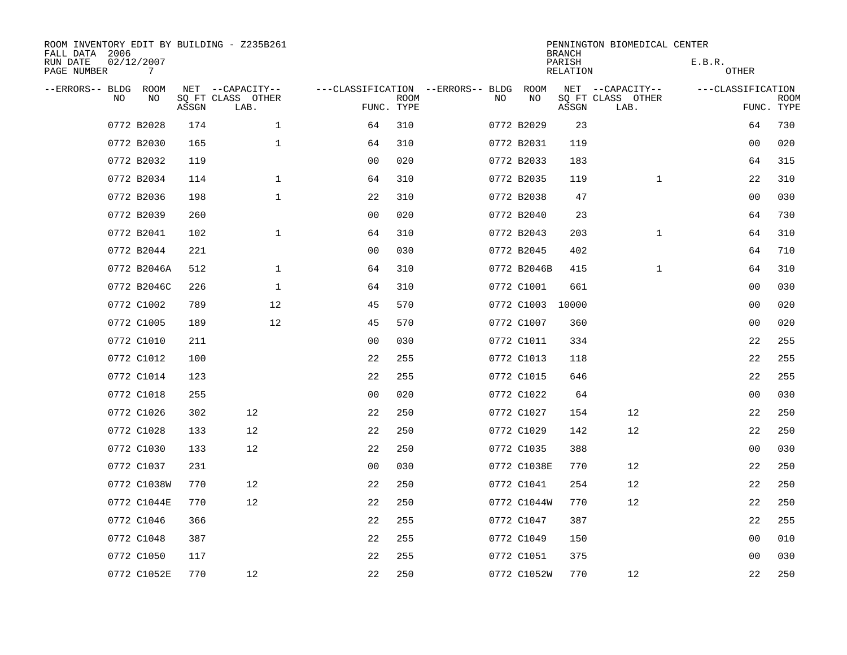| ROOM INVENTORY EDIT BY BUILDING - Z235B261<br>FALL DATA 2006 |                 |       |                           |                                        |             |    |             | <b>BRANCH</b>             | PENNINGTON BIOMEDICAL CENTER |                        |                           |
|--------------------------------------------------------------|-----------------|-------|---------------------------|----------------------------------------|-------------|----|-------------|---------------------------|------------------------------|------------------------|---------------------------|
| RUN DATE<br>PAGE NUMBER                                      | 02/12/2007<br>7 |       |                           |                                        |             |    |             | PARISH<br><b>RELATION</b> |                              | E.B.R.<br><b>OTHER</b> |                           |
| --ERRORS-- BLDG                                              | ROOM            |       | NET --CAPACITY--          | ---CLASSIFICATION --ERRORS-- BLDG ROOM |             |    |             |                           | NET --CAPACITY--             | ---CLASSIFICATION      |                           |
| NO                                                           | NO              | ASSGN | SQ FT CLASS OTHER<br>LAB. | FUNC. TYPE                             | <b>ROOM</b> | NO | NO          | ASSGN                     | SQ FT CLASS OTHER<br>LAB.    |                        | <b>ROOM</b><br>FUNC. TYPE |
|                                                              | 0772 B2028      | 174   | $\mathbf 1$               | 64                                     | 310         |    | 0772 B2029  | 23                        |                              | 64                     | 730                       |
|                                                              | 0772 B2030      | 165   | $\mathbf 1$               | 64                                     | 310         |    | 0772 B2031  | 119                       |                              | 00                     | 020                       |
|                                                              | 0772 B2032      | 119   |                           | 0 <sub>0</sub>                         | 020         |    | 0772 B2033  | 183                       |                              | 64                     | 315                       |
|                                                              | 0772 B2034      | 114   | $\mathbf 1$               | 64                                     | 310         |    | 0772 B2035  | 119                       | $\mathbf{1}$                 | 22                     | 310                       |
|                                                              | 0772 B2036      | 198   | $\mathbf{1}$              | 22                                     | 310         |    | 0772 B2038  | 47                        |                              | 0 <sub>0</sub>         | 030                       |
|                                                              | 0772 B2039      | 260   |                           | 0 <sub>0</sub>                         | 020         |    | 0772 B2040  | 23                        |                              | 64                     | 730                       |
|                                                              | 0772 B2041      | 102   | $\mathbf{1}$              | 64                                     | 310         |    | 0772 B2043  | 203                       | $\mathbf{1}$                 | 64                     | 310                       |
|                                                              | 0772 B2044      | 221   |                           | 0 <sub>0</sub>                         | 030         |    | 0772 B2045  | 402                       |                              | 64                     | 710                       |
|                                                              | 0772 B2046A     | 512   | $\mathbf 1$               | 64                                     | 310         |    | 0772 B2046B | 415                       | $\mathbf{1}$                 | 64                     | 310                       |
|                                                              | 0772 B2046C     | 226   | $\mathbf{1}$              | 64                                     | 310         |    | 0772 C1001  | 661                       |                              | 0 <sub>0</sub>         | 030                       |
|                                                              | 0772 C1002      | 789   | 12                        | 45                                     | 570         |    | 0772 C1003  | 10000                     |                              | 0 <sub>0</sub>         | 020                       |
|                                                              | 0772 C1005      | 189   | 12                        | 45                                     | 570         |    | 0772 C1007  | 360                       |                              | 0 <sub>0</sub>         | 020                       |
|                                                              | 0772 C1010      | 211   |                           | 0 <sub>0</sub>                         | 030         |    | 0772 C1011  | 334                       |                              | 22                     | 255                       |
|                                                              | 0772 C1012      | 100   |                           | 22                                     | 255         |    | 0772 C1013  | 118                       |                              | 22                     | 255                       |
|                                                              | 0772 C1014      | 123   |                           | 22                                     | 255         |    | 0772 C1015  | 646                       |                              | 22                     | 255                       |
|                                                              | 0772 C1018      | 255   |                           | 0 <sub>0</sub>                         | 020         |    | 0772 C1022  | 64                        |                              | 0 <sub>0</sub>         | 030                       |
|                                                              | 0772 C1026      | 302   | 12                        | 22                                     | 250         |    | 0772 C1027  | 154                       | 12                           | 22                     | 250                       |
|                                                              | 0772 C1028      | 133   | 12                        | 22                                     | 250         |    | 0772 C1029  | 142                       | 12                           | 22                     | 250                       |
|                                                              | 0772 C1030      | 133   | 12                        | 22                                     | 250         |    | 0772 C1035  | 388                       |                              | 0 <sub>0</sub>         | 030                       |
|                                                              | 0772 C1037      | 231   |                           | 0 <sub>0</sub>                         | 030         |    | 0772 C1038E | 770                       | 12                           | 22                     | 250                       |
|                                                              | 0772 C1038W     | 770   | 12                        | 22                                     | 250         |    | 0772 C1041  | 254                       | 12                           | 22                     | 250                       |
|                                                              | 0772 C1044E     | 770   | 12                        | 22                                     | 250         |    | 0772 C1044W | 770                       | 12                           | 22                     | 250                       |
|                                                              | 0772 C1046      | 366   |                           | 22                                     | 255         |    | 0772 C1047  | 387                       |                              | 22                     | 255                       |
|                                                              | 0772 C1048      | 387   |                           | 22                                     | 255         |    | 0772 C1049  | 150                       |                              | 0 <sub>0</sub>         | 010                       |
|                                                              | 0772 C1050      | 117   |                           | 22                                     | 255         |    | 0772 C1051  | 375                       |                              | 00                     | 030                       |
|                                                              | 0772 C1052E     | 770   | 12                        | 22                                     | 250         |    | 0772 C1052W | 770                       | 12                           | 22                     | 250                       |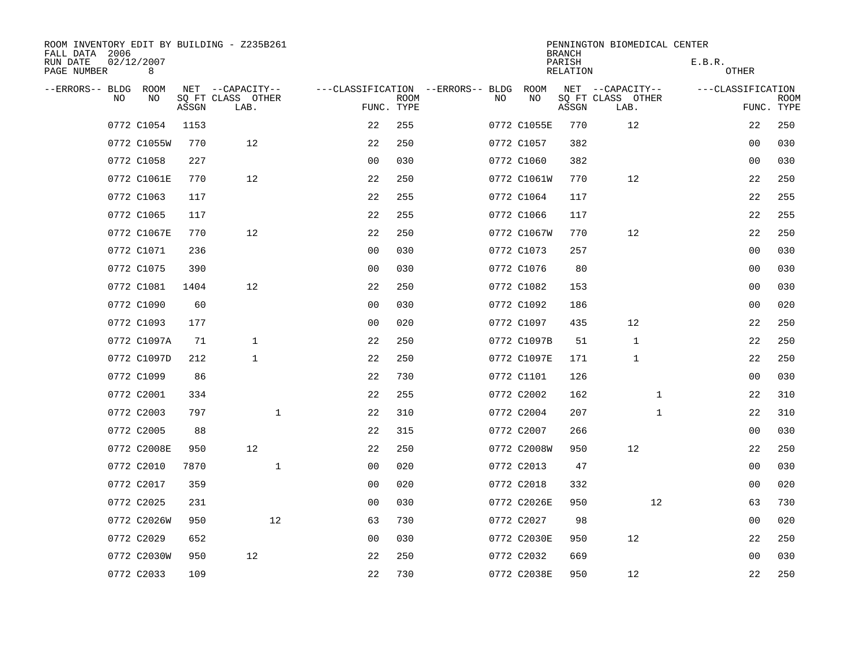| ROOM INVENTORY EDIT BY BUILDING - Z235B261<br>FALL DATA 2006 |                 |       |                           |                                   |             |    |             | <b>BRANCH</b>             | PENNINGTON BIOMEDICAL CENTER |                   |                           |
|--------------------------------------------------------------|-----------------|-------|---------------------------|-----------------------------------|-------------|----|-------------|---------------------------|------------------------------|-------------------|---------------------------|
| RUN DATE<br>PAGE NUMBER                                      | 02/12/2007<br>8 |       |                           |                                   |             |    |             | PARISH<br><b>RELATION</b> |                              | E.B.R.<br>OTHER   |                           |
| --ERRORS-- BLDG ROOM                                         |                 |       | NET --CAPACITY--          | ---CLASSIFICATION --ERRORS-- BLDG |             |    | ROOM        |                           | NET --CAPACITY--             | ---CLASSIFICATION |                           |
| NO                                                           | NO              | ASSGN | SQ FT CLASS OTHER<br>LAB. | FUNC. TYPE                        | <b>ROOM</b> | NO | NO          | ASSGN                     | SQ FT CLASS OTHER<br>LAB.    |                   | <b>ROOM</b><br>FUNC. TYPE |
|                                                              | 0772 C1054      | 1153  |                           | 22                                | 255         |    | 0772 C1055E | 770                       | 12                           | 22                | 250                       |
|                                                              | 0772 C1055W     | 770   | 12                        | 22                                | 250         |    | 0772 C1057  | 382                       |                              | 0 <sub>0</sub>    | 030                       |
|                                                              | 0772 C1058      | 227   |                           | 0 <sub>0</sub>                    | 030         |    | 0772 C1060  | 382                       |                              | 0 <sub>0</sub>    | 030                       |
|                                                              | 0772 C1061E     | 770   | 12                        | 22                                | 250         |    | 0772 C1061W | 770                       | 12                           | 22                | 250                       |
|                                                              | 0772 C1063      | 117   |                           | 22                                | 255         |    | 0772 C1064  | 117                       |                              | 22                | 255                       |
|                                                              | 0772 C1065      | 117   |                           | 22                                | 255         |    | 0772 C1066  | 117                       |                              | 22                | 255                       |
|                                                              | 0772 C1067E     | 770   | 12                        | 22                                | 250         |    | 0772 C1067W | 770                       | 12                           | 22                | 250                       |
|                                                              | 0772 C1071      | 236   |                           | 0 <sub>0</sub>                    | 030         |    | 0772 C1073  | 257                       |                              | 0 <sub>0</sub>    | 030                       |
|                                                              | 0772 C1075      | 390   |                           | 0 <sub>0</sub>                    | 030         |    | 0772 C1076  | 80                        |                              | 0 <sub>0</sub>    | 030                       |
|                                                              | 0772 C1081      | 1404  | 12                        | 22                                | 250         |    | 0772 C1082  | 153                       |                              | 0 <sub>0</sub>    | 030                       |
|                                                              | 0772 C1090      | 60    |                           | 0 <sub>0</sub>                    | 030         |    | 0772 C1092  | 186                       |                              | 0 <sub>0</sub>    | 020                       |
|                                                              | 0772 C1093      | 177   |                           | 0 <sub>0</sub>                    | 020         |    | 0772 C1097  | 435                       | 12                           | 22                | 250                       |
|                                                              | 0772 C1097A     | 71    | $\mathbf{1}$              | 22                                | 250         |    | 0772 C1097B | 51                        | $\mathbf 1$                  | 22                | 250                       |
|                                                              | 0772 C1097D     | 212   | $\mathbf 1$               | 22                                | 250         |    | 0772 C1097E | 171                       | 1                            | 22                | 250                       |
|                                                              | 0772 C1099      | 86    |                           | 22                                | 730         |    | 0772 C1101  | 126                       |                              | 0 <sub>0</sub>    | 030                       |
|                                                              | 0772 C2001      | 334   |                           | 22                                | 255         |    | 0772 C2002  | 162                       | $\mathbf{1}$                 | 22                | 310                       |
|                                                              | 0772 C2003      | 797   | $\mathbf{1}$              | 22                                | 310         |    | 0772 C2004  | 207                       | $\mathbf{1}$                 | 22                | 310                       |
|                                                              | 0772 C2005      | 88    |                           | 22                                | 315         |    | 0772 C2007  | 266                       |                              | 0 <sub>0</sub>    | 030                       |
|                                                              | 0772 C2008E     | 950   | 12                        | 22                                | 250         |    | 0772 C2008W | 950                       | 12                           | 22                | 250                       |
|                                                              | 0772 C2010      | 7870  | $\mathbf{1}$              | 0 <sub>0</sub>                    | 020         |    | 0772 C2013  | 47                        |                              | 0 <sub>0</sub>    | 030                       |
|                                                              | 0772 C2017      | 359   |                           | 00                                | 020         |    | 0772 C2018  | 332                       |                              | 0 <sub>0</sub>    | 020                       |
|                                                              | 0772 C2025      | 231   |                           | 0 <sub>0</sub>                    | 030         |    | 0772 C2026E | 950                       | 12                           | 63                | 730                       |
|                                                              | 0772 C2026W     | 950   | 12                        | 63                                | 730         |    | 0772 C2027  | 98                        |                              | 00                | 020                       |
|                                                              | 0772 C2029      | 652   |                           | 0 <sub>0</sub>                    | 030         |    | 0772 C2030E | 950                       | 12                           | 22                | 250                       |
|                                                              | 0772 C2030W     | 950   | 12                        | 22                                | 250         |    | 0772 C2032  | 669                       |                              | 0 <sub>0</sub>    | 030                       |
|                                                              | 0772 C2033      | 109   |                           | 22                                | 730         |    | 0772 C2038E | 950                       | 12                           | 22                | 250                       |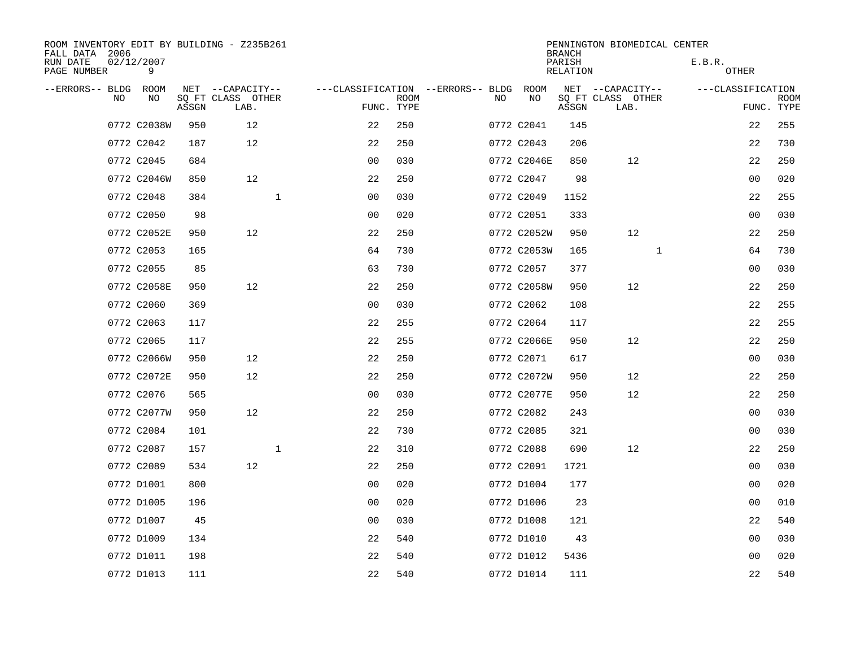| ROOM INVENTORY EDIT BY BUILDING - Z235B261<br>FALL DATA 2006 |                 |       |                           |              |                                   |                           |     |             | <b>BRANCH</b>      | PENNINGTON BIOMEDICAL CENTER |                   |                           |
|--------------------------------------------------------------|-----------------|-------|---------------------------|--------------|-----------------------------------|---------------------------|-----|-------------|--------------------|------------------------------|-------------------|---------------------------|
| RUN DATE<br>PAGE NUMBER                                      | 02/12/2007<br>9 |       |                           |              |                                   |                           |     |             | PARISH<br>RELATION |                              | E.B.R.<br>OTHER   |                           |
| --ERRORS-- BLDG                                              | ROOM            |       | NET --CAPACITY--          |              | ---CLASSIFICATION --ERRORS-- BLDG |                           |     | ROOM        |                    | NET --CAPACITY--             | ---CLASSIFICATION |                           |
| NO                                                           | NO              | ASSGN | SQ FT CLASS OTHER<br>LAB. |              |                                   | <b>ROOM</b><br>FUNC. TYPE | NO. | NO          | ASSGN              | SQ FT CLASS OTHER<br>LAB.    |                   | <b>ROOM</b><br>FUNC. TYPE |
|                                                              | 0772 C2038W     | 950   | 12                        |              | 22                                | 250                       |     | 0772 C2041  | 145                |                              | 22                | 255                       |
|                                                              | 0772 C2042      | 187   | 12                        |              | 22                                | 250                       |     | 0772 C2043  | 206                |                              | 22                | 730                       |
|                                                              | 0772 C2045      | 684   |                           |              | 0 <sub>0</sub>                    | 030                       |     | 0772 C2046E | 850                | 12                           | 22                | 250                       |
|                                                              | 0772 C2046W     | 850   | 12                        |              | 22                                | 250                       |     | 0772 C2047  | 98                 |                              | 0 <sub>0</sub>    | 020                       |
|                                                              | 0772 C2048      | 384   |                           | $\mathbf{1}$ | 0 <sub>0</sub>                    | 030                       |     | 0772 C2049  | 1152               |                              | 22                | 255                       |
|                                                              | 0772 C2050      | 98    |                           |              | 0 <sub>0</sub>                    | 020                       |     | 0772 C2051  | 333                |                              | 0 <sub>0</sub>    | 030                       |
|                                                              | 0772 C2052E     | 950   | 12                        |              | 22                                | 250                       |     | 0772 C2052W | 950                | 12                           | 22                | 250                       |
|                                                              | 0772 C2053      | 165   |                           |              | 64                                | 730                       |     | 0772 C2053W | 165                | $\mathbf{1}$                 | 64                | 730                       |
|                                                              | 0772 C2055      | 85    |                           |              | 63                                | 730                       |     | 0772 C2057  | 377                |                              | 00                | 030                       |
|                                                              | 0772 C2058E     | 950   | 12                        |              | 22                                | 250                       |     | 0772 C2058W | 950                | 12                           | 22                | 250                       |
|                                                              | 0772 C2060      | 369   |                           |              | 0 <sub>0</sub>                    | 030                       |     | 0772 C2062  | 108                |                              | 22                | 255                       |
|                                                              | 0772 C2063      | 117   |                           |              | 22                                | 255                       |     | 0772 C2064  | 117                |                              | 22                | 255                       |
|                                                              | 0772 C2065      | 117   |                           |              | 22                                | 255                       |     | 0772 C2066E | 950                | 12                           | 22                | 250                       |
|                                                              | 0772 C2066W     | 950   | 12                        |              | 22                                | 250                       |     | 0772 C2071  | 617                |                              | 0 <sub>0</sub>    | 030                       |
|                                                              | 0772 C2072E     | 950   | 12                        |              | 22                                | 250                       |     | 0772 C2072W | 950                | 12                           | 22                | 250                       |
|                                                              | 0772 C2076      | 565   |                           |              | 0 <sub>0</sub>                    | 030                       |     | 0772 C2077E | 950                | 12                           | 22                | 250                       |
|                                                              | 0772 C2077W     | 950   | 12                        |              | 22                                | 250                       |     | 0772 C2082  | 243                |                              | 0 <sub>0</sub>    | 030                       |
|                                                              | 0772 C2084      | 101   |                           |              | 22                                | 730                       |     | 0772 C2085  | 321                |                              | 00                | 030                       |
|                                                              | 0772 C2087      | 157   |                           | $\mathbf 1$  | 22                                | 310                       |     | 0772 C2088  | 690                | 12                           | 22                | 250                       |
|                                                              | 0772 C2089      | 534   | 12                        |              | 22                                | 250                       |     | 0772 C2091  | 1721               |                              | 0 <sub>0</sub>    | 030                       |
|                                                              | 0772 D1001      | 800   |                           |              | 0 <sub>0</sub>                    | 020                       |     | 0772 D1004  | 177                |                              | 0 <sub>0</sub>    | 020                       |
|                                                              | 0772 D1005      | 196   |                           |              | 0 <sub>0</sub>                    | 020                       |     | 0772 D1006  | 23                 |                              | 00                | 010                       |
|                                                              | 0772 D1007      | 45    |                           |              | 00                                | 030                       |     | 0772 D1008  | 121                |                              | 22                | 540                       |
|                                                              | 0772 D1009      | 134   |                           |              | 22                                | 540                       |     | 0772 D1010  | 43                 |                              | 0 <sub>0</sub>    | 030                       |
|                                                              | 0772 D1011      | 198   |                           |              | 22                                | 540                       |     | 0772 D1012  | 5436               |                              | 00                | 020                       |
|                                                              | 0772 D1013      | 111   |                           |              | 22                                | 540                       |     | 0772 D1014  | 111                |                              | 22                | 540                       |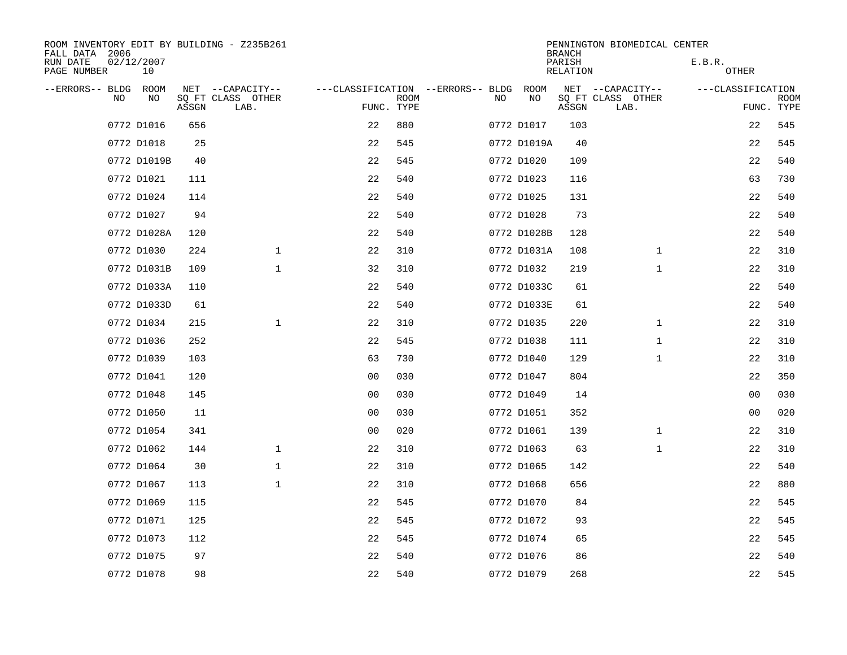| ROOM INVENTORY EDIT BY BUILDING - Z235B261<br>FALL DATA 2006 |                  |       |                           |                                        |             |    |             | <b>BRANCH</b>      | PENNINGTON BIOMEDICAL CENTER |                   |                           |
|--------------------------------------------------------------|------------------|-------|---------------------------|----------------------------------------|-------------|----|-------------|--------------------|------------------------------|-------------------|---------------------------|
| RUN DATE<br>PAGE NUMBER                                      | 02/12/2007<br>10 |       |                           |                                        |             |    |             | PARISH<br>RELATION |                              | E.B.R.<br>OTHER   |                           |
| --ERRORS-- BLDG ROOM                                         |                  |       | NET --CAPACITY--          | ---CLASSIFICATION --ERRORS-- BLDG ROOM |             |    |             |                    | NET --CAPACITY--             | ---CLASSIFICATION |                           |
| NO                                                           | NO               | ASSGN | SQ FT CLASS OTHER<br>LAB. | FUNC. TYPE                             | <b>ROOM</b> | NO | NO          | ASSGN              | SQ FT CLASS OTHER<br>LAB.    |                   | <b>ROOM</b><br>FUNC. TYPE |
|                                                              | 0772 D1016       | 656   |                           | 22                                     | 880         |    | 0772 D1017  | 103                |                              | 22                | 545                       |
|                                                              | 0772 D1018       | 25    |                           | 22                                     | 545         |    | 0772 D1019A | 40                 |                              | 22                | 545                       |
|                                                              | 0772 D1019B      | 40    |                           | 22                                     | 545         |    | 0772 D1020  | 109                |                              | 22                | 540                       |
|                                                              | 0772 D1021       | 111   |                           | 22                                     | 540         |    | 0772 D1023  | 116                |                              | 63                | 730                       |
|                                                              | 0772 D1024       | 114   |                           | 22                                     | 540         |    | 0772 D1025  | 131                |                              | 22                | 540                       |
|                                                              | 0772 D1027       | 94    |                           | 22                                     | 540         |    | 0772 D1028  | 73                 |                              | 22                | 540                       |
|                                                              | 0772 D1028A      | 120   |                           | 22                                     | 540         |    | 0772 D1028B | 128                |                              | 22                | 540                       |
|                                                              | 0772 D1030       | 224   | $\mathbf{1}$              | 22                                     | 310         |    | 0772 D1031A | 108                | $\mathbf{1}$                 | 22                | 310                       |
|                                                              | 0772 D1031B      | 109   | $\mathbf 1$               | 32                                     | 310         |    | 0772 D1032  | 219                | $\mathbf{1}$                 | 22                | 310                       |
|                                                              | 0772 D1033A      | 110   |                           | 22                                     | 540         |    | 0772 D1033C | 61                 |                              | 22                | 540                       |
|                                                              | 0772 D1033D      | 61    |                           | 22                                     | 540         |    | 0772 D1033E | 61                 |                              | 22                | 540                       |
|                                                              | 0772 D1034       | 215   | $\mathbf{1}$              | 22                                     | 310         |    | 0772 D1035  | 220                | $\mathbf{1}$                 | 22                | 310                       |
|                                                              | 0772 D1036       | 252   |                           | 22                                     | 545         |    | 0772 D1038  | 111                | $\mathbf{1}$                 | 22                | 310                       |
|                                                              | 0772 D1039       | 103   |                           | 63                                     | 730         |    | 0772 D1040  | 129                | $\mathbf{1}$                 | 22                | 310                       |
|                                                              | 0772 D1041       | 120   |                           | 0 <sup>0</sup>                         | 030         |    | 0772 D1047  | 804                |                              | 22                | 350                       |
|                                                              | 0772 D1048       | 145   |                           | 0 <sub>0</sub>                         | 030         |    | 0772 D1049  | 14                 |                              | 0 <sub>0</sub>    | 030                       |
|                                                              | 0772 D1050       | 11    |                           | 0 <sub>0</sub>                         | 030         |    | 0772 D1051  | 352                |                              | 00                | 020                       |
|                                                              | 0772 D1054       | 341   |                           | 0 <sub>0</sub>                         | 020         |    | 0772 D1061  | 139                | $\mathbf{1}$                 | 22                | 310                       |
|                                                              | 0772 D1062       | 144   | $\mathbf{1}$              | 22                                     | 310         |    | 0772 D1063  | 63                 | $\mathbf{1}$                 | 22                | 310                       |
|                                                              | 0772 D1064       | 30    | $\mathbf 1$               | 22                                     | 310         |    | 0772 D1065  | 142                |                              | 22                | 540                       |
|                                                              | 0772 D1067       | 113   | $\mathbf 1$               | 22                                     | 310         |    | 0772 D1068  | 656                |                              | 22                | 880                       |
|                                                              | 0772 D1069       | 115   |                           | 22                                     | 545         |    | 0772 D1070  | 84                 |                              | 22                | 545                       |
|                                                              | 0772 D1071       | 125   |                           | 22                                     | 545         |    | 0772 D1072  | 93                 |                              | 22                | 545                       |
|                                                              | 0772 D1073       | 112   |                           | 22                                     | 545         |    | 0772 D1074  | 65                 |                              | 22                | 545                       |
|                                                              | 0772 D1075       | 97    |                           | 22                                     | 540         |    | 0772 D1076  | 86                 |                              | 22                | 540                       |
|                                                              | 0772 D1078       | 98    |                           | 22                                     | 540         |    | 0772 D1079  | 268                |                              | 22                | 545                       |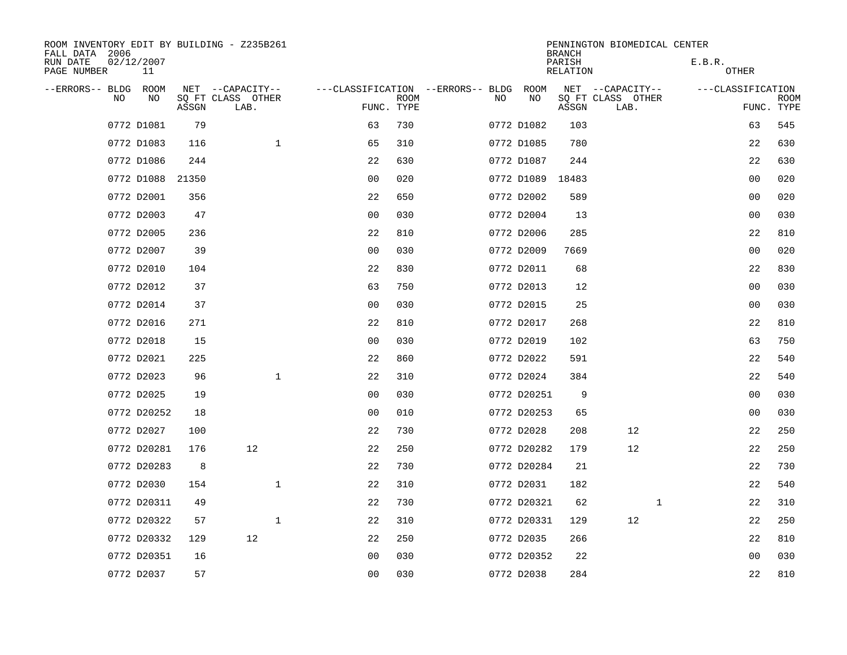| ROOM INVENTORY EDIT BY BUILDING - Z235B261<br>FALL DATA 2006 |                  |       |                           |                                   |             |     |                  | <b>BRANCH</b>      | PENNINGTON BIOMEDICAL CENTER |                   |                           |
|--------------------------------------------------------------|------------------|-------|---------------------------|-----------------------------------|-------------|-----|------------------|--------------------|------------------------------|-------------------|---------------------------|
| RUN DATE<br>PAGE NUMBER                                      | 02/12/2007<br>11 |       |                           |                                   |             |     |                  | PARISH<br>RELATION |                              | E.B.R.<br>OTHER   |                           |
| --ERRORS-- BLDG                                              | ROOM             |       | NET --CAPACITY--          | ---CLASSIFICATION --ERRORS-- BLDG |             |     | ROOM             |                    | NET --CAPACITY--             | ---CLASSIFICATION |                           |
| N <sub>O</sub>                                               | NO.              | ASSGN | SO FT CLASS OTHER<br>LAB. | FUNC. TYPE                        | <b>ROOM</b> | NO. | NO               | ASSGN              | SQ FT CLASS OTHER<br>LAB.    |                   | <b>ROOM</b><br>FUNC. TYPE |
|                                                              | 0772 D1081       | 79    |                           | 63                                | 730         |     | 0772 D1082       | 103                |                              | 63                | 545                       |
|                                                              | 0772 D1083       | 116   | $\mathbf{1}$              | 65                                | 310         |     | 0772 D1085       | 780                |                              | 22                | 630                       |
|                                                              | 0772 D1086       | 244   |                           | 22                                | 630         |     | 0772 D1087       | 244                |                              | 22                | 630                       |
|                                                              | 0772 D1088       | 21350 |                           | 00                                | 020         |     | 0772 D1089 18483 |                    |                              | 0 <sub>0</sub>    | 020                       |
|                                                              | 0772 D2001       | 356   |                           | 22                                | 650         |     | 0772 D2002       | 589                |                              | 0 <sub>0</sub>    | 020                       |
|                                                              | 0772 D2003       | 47    |                           | 0 <sub>0</sub>                    | 030         |     | 0772 D2004       | 13                 |                              | 0 <sub>0</sub>    | 030                       |
|                                                              | 0772 D2005       | 236   |                           | 22                                | 810         |     | 0772 D2006       | 285                |                              | 22                | 810                       |
|                                                              | 0772 D2007       | 39    |                           | 0 <sub>0</sub>                    | 030         |     | 0772 D2009       | 7669               |                              | 0 <sub>0</sub>    | 020                       |
|                                                              | 0772 D2010       | 104   |                           | 22                                | 830         |     | 0772 D2011       | 68                 |                              | 22                | 830                       |
|                                                              | 0772 D2012       | 37    |                           | 63                                | 750         |     | 0772 D2013       | 12                 |                              | 0 <sub>0</sub>    | 030                       |
|                                                              | 0772 D2014       | 37    |                           | 0 <sub>0</sub>                    | 030         |     | 0772 D2015       | 25                 |                              | 0 <sub>0</sub>    | 030                       |
|                                                              | 0772 D2016       | 271   |                           | 22                                | 810         |     | 0772 D2017       | 268                |                              | 22                | 810                       |
|                                                              | 0772 D2018       | 15    |                           | 0 <sub>0</sub>                    | 030         |     | 0772 D2019       | 102                |                              | 63                | 750                       |
|                                                              | 0772 D2021       | 225   |                           | 22                                | 860         |     | 0772 D2022       | 591                |                              | 22                | 540                       |
|                                                              | 0772 D2023       | 96    | $\mathbf{1}$              | 22                                | 310         |     | 0772 D2024       | 384                |                              | 22                | 540                       |
|                                                              | 0772 D2025       | 19    |                           | 0 <sub>0</sub>                    | 030         |     | 0772 D20251      | 9                  |                              | 0 <sub>0</sub>    | 030                       |
|                                                              | 0772 D20252      | 18    |                           | 0 <sub>0</sub>                    | 010         |     | 0772 D20253      | 65                 |                              | 0 <sub>0</sub>    | 030                       |
|                                                              | 0772 D2027       | 100   |                           | 22                                | 730         |     | 0772 D2028       | 208                | 12                           | 22                | 250                       |
|                                                              | 0772 D20281      | 176   | 12                        | 22                                | 250         |     | 0772 D20282      | 179                | 12                           | 22                | 250                       |
|                                                              | 0772 D20283      | 8     |                           | 22                                | 730         |     | 0772 D20284      | 21                 |                              | 22                | 730                       |
|                                                              | 0772 D2030       | 154   | $\mathbf{1}$              | 22                                | 310         |     | 0772 D2031       | 182                |                              | 22                | 540                       |
|                                                              | 0772 D20311      | 49    |                           | 22                                | 730         |     | 0772 D20321      | 62                 | $\mathbf{1}$                 | 22                | 310                       |
|                                                              | 0772 D20322      | 57    | $\mathbf 1$               | 22                                | 310         |     | 0772 D20331      | 129                | 12                           | 22                | 250                       |
|                                                              | 0772 D20332      | 129   | 12                        | 22                                | 250         |     | 0772 D2035       | 266                |                              | 22                | 810                       |
|                                                              | 0772 D20351      | 16    |                           | 0 <sub>0</sub>                    | 030         |     | 0772 D20352      | 22                 |                              | 0 <sub>0</sub>    | 030                       |
|                                                              | 0772 D2037       | 57    |                           | 0 <sub>0</sub>                    | 030         |     | 0772 D2038       | 284                |                              | 22                | 810                       |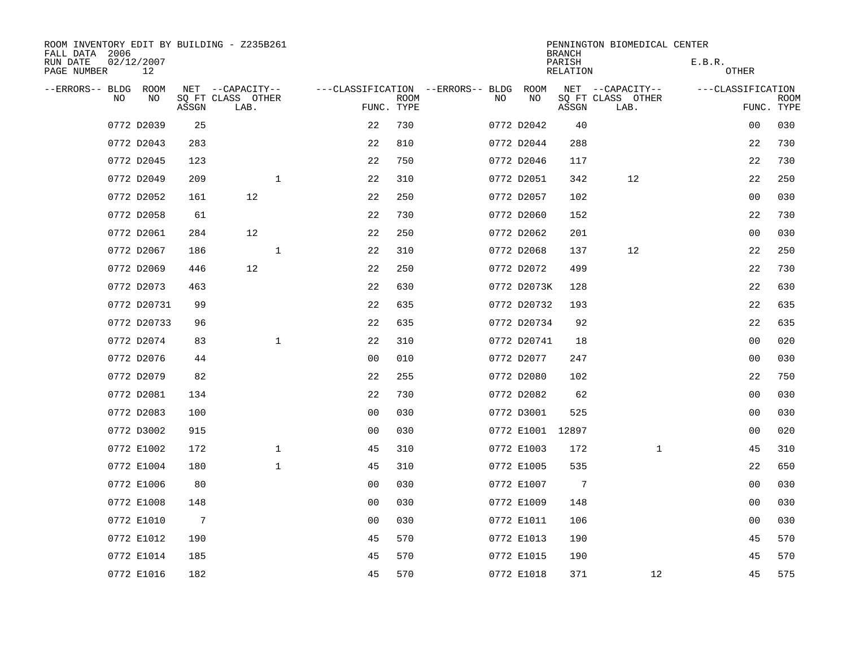| ROOM INVENTORY EDIT BY BUILDING - Z235B261<br>FALL DATA 2006 |                  |                 |                           |              |                                   |             |    |             | <b>BRANCH</b>      | PENNINGTON BIOMEDICAL CENTER |                   |                           |
|--------------------------------------------------------------|------------------|-----------------|---------------------------|--------------|-----------------------------------|-------------|----|-------------|--------------------|------------------------------|-------------------|---------------------------|
| RUN DATE<br>PAGE NUMBER                                      | 02/12/2007<br>12 |                 |                           |              |                                   |             |    |             | PARISH<br>RELATION |                              | E.B.R.<br>OTHER   |                           |
| --ERRORS-- BLDG                                              | ROOM             |                 | NET --CAPACITY--          |              | ---CLASSIFICATION --ERRORS-- BLDG |             |    | ROOM        |                    | NET --CAPACITY--             | ---CLASSIFICATION |                           |
| NO                                                           | NO               | ASSGN           | SQ FT CLASS OTHER<br>LAB. |              | FUNC. TYPE                        | <b>ROOM</b> | NO | NO          | ASSGN              | SQ FT CLASS OTHER<br>LAB.    |                   | <b>ROOM</b><br>FUNC. TYPE |
|                                                              | 0772 D2039       | 25              |                           |              | 22                                | 730         |    | 0772 D2042  | 40                 |                              | 00                | 030                       |
|                                                              | 0772 D2043       | 283             |                           |              | 22                                | 810         |    | 0772 D2044  | 288                |                              | 22                | 730                       |
|                                                              | 0772 D2045       | 123             |                           |              | 22                                | 750         |    | 0772 D2046  | 117                |                              | 22                | 730                       |
|                                                              | 0772 D2049       | 209             |                           | $\mathbf{1}$ | 22                                | 310         |    | 0772 D2051  | 342                | 12                           | 22                | 250                       |
|                                                              | 0772 D2052       | 161             | 12                        |              | 22                                | 250         |    | 0772 D2057  | 102                |                              | 00                | 030                       |
|                                                              | 0772 D2058       | 61              |                           |              | 22                                | 730         |    | 0772 D2060  | 152                |                              | 22                | 730                       |
|                                                              | 0772 D2061       | 284             | 12                        |              | 22                                | 250         |    | 0772 D2062  | 201                |                              | 00                | 030                       |
|                                                              | 0772 D2067       | 186             |                           | $\mathbf{1}$ | 22                                | 310         |    | 0772 D2068  | 137                | 12                           | 22                | 250                       |
|                                                              | 0772 D2069       | 446             | 12                        |              | 22                                | 250         |    | 0772 D2072  | 499                |                              | 22                | 730                       |
|                                                              | 0772 D2073       | 463             |                           |              | 22                                | 630         |    | 0772 D2073K | 128                |                              | 22                | 630                       |
|                                                              | 0772 D20731      | 99              |                           |              | 22                                | 635         |    | 0772 D20732 | 193                |                              | 22                | 635                       |
|                                                              | 0772 D20733      | 96              |                           |              | 22                                | 635         |    | 0772 D20734 | 92                 |                              | 22                | 635                       |
|                                                              | 0772 D2074       | 83              |                           | $\mathbf{1}$ | 22                                | 310         |    | 0772 D20741 | 18                 |                              | 0 <sub>0</sub>    | 020                       |
|                                                              | 0772 D2076       | 44              |                           |              | 0 <sub>0</sub>                    | 010         |    | 0772 D2077  | 247                |                              | 0 <sub>0</sub>    | 030                       |
|                                                              | 0772 D2079       | 82              |                           |              | 22                                | 255         |    | 0772 D2080  | 102                |                              | 22                | 750                       |
|                                                              | 0772 D2081       | 134             |                           |              | 22                                | 730         |    | 0772 D2082  | 62                 |                              | 0 <sub>0</sub>    | 030                       |
|                                                              | 0772 D2083       | 100             |                           |              | 0 <sub>0</sub>                    | 030         |    | 0772 D3001  | 525                |                              | 0 <sub>0</sub>    | 030                       |
|                                                              | 0772 D3002       | 915             |                           |              | 0 <sub>0</sub>                    | 030         |    | 0772 E1001  | 12897              |                              | 00                | 020                       |
|                                                              | 0772 E1002       | 172             |                           | $\mathbf 1$  | 45                                | 310         |    | 0772 E1003  | 172                | $\mathbf{1}$                 | 45                | 310                       |
|                                                              | 0772 E1004       | 180             |                           | $\mathbf{1}$ | 45                                | 310         |    | 0772 E1005  | 535                |                              | 22                | 650                       |
|                                                              | 0772 E1006       | 80              |                           |              | 0 <sub>0</sub>                    | 030         |    | 0772 E1007  | 7                  |                              | 0 <sub>0</sub>    | 030                       |
|                                                              | 0772 E1008       | 148             |                           |              | 0 <sub>0</sub>                    | 030         |    | 0772 E1009  | 148                |                              | 00                | 030                       |
|                                                              | 0772 E1010       | $7\phantom{.0}$ |                           |              | 0 <sup>0</sup>                    | 030         |    | 0772 E1011  | 106                |                              | 0 <sub>0</sub>    | 030                       |
|                                                              | 0772 E1012       | 190             |                           |              | 45                                | 570         |    | 0772 E1013  | 190                |                              | 45                | 570                       |
|                                                              | 0772 E1014       | 185             |                           |              | 45                                | 570         |    | 0772 E1015  | 190                |                              | 45                | 570                       |
|                                                              | 0772 E1016       | 182             |                           |              | 45                                | 570         |    | 0772 E1018  | 371                | 12                           | 45                | 575                       |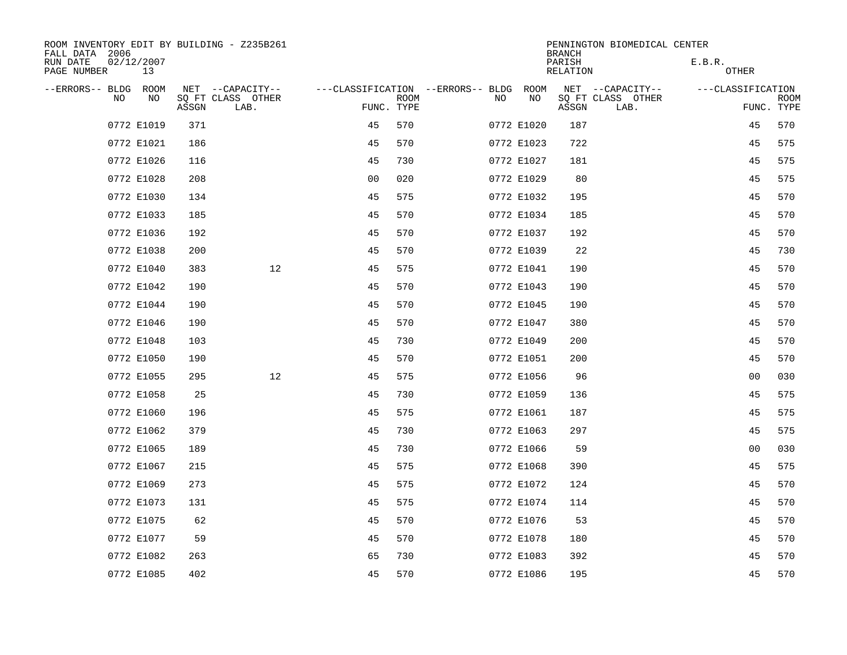| ROOM INVENTORY EDIT BY BUILDING - Z235B261<br>FALL DATA 2006 |                  |       |                           |                |             |                                        |            | <b>BRANCH</b>      | PENNINGTON BIOMEDICAL CENTER |                   |                           |
|--------------------------------------------------------------|------------------|-------|---------------------------|----------------|-------------|----------------------------------------|------------|--------------------|------------------------------|-------------------|---------------------------|
| RUN DATE<br>PAGE NUMBER                                      | 02/12/2007<br>13 |       |                           |                |             |                                        |            | PARISH<br>RELATION |                              | E.B.R.<br>OTHER   |                           |
| --ERRORS-- BLDG ROOM                                         |                  |       | NET --CAPACITY--          |                |             | ---CLASSIFICATION --ERRORS-- BLDG ROOM |            |                    | NET --CAPACITY--             | ---CLASSIFICATION |                           |
| NO.                                                          | NO.              | ASSGN | SQ FT CLASS OTHER<br>LAB. | FUNC. TYPE     | <b>ROOM</b> | NO.                                    | NO         | ASSGN              | SQ FT CLASS OTHER<br>LAB.    |                   | <b>ROOM</b><br>FUNC. TYPE |
|                                                              | 0772 E1019       | 371   |                           | 45             | 570         |                                        | 0772 E1020 | 187                |                              | 45                | 570                       |
|                                                              | 0772 E1021       | 186   |                           | 45             | 570         |                                        | 0772 E1023 | 722                |                              | 45                | 575                       |
|                                                              | 0772 E1026       | 116   |                           | 45             | 730         |                                        | 0772 E1027 | 181                |                              | 45                | 575                       |
|                                                              | 0772 E1028       | 208   |                           | 0 <sub>0</sub> | 020         |                                        | 0772 E1029 | 80                 |                              | 45                | 575                       |
|                                                              | 0772 E1030       | 134   |                           | 45             | 575         |                                        | 0772 E1032 | 195                |                              | 45                | 570                       |
|                                                              | 0772 E1033       | 185   |                           | 45             | 570         |                                        | 0772 E1034 | 185                |                              | 45                | 570                       |
|                                                              | 0772 E1036       | 192   |                           | 45             | 570         |                                        | 0772 E1037 | 192                |                              | 45                | 570                       |
|                                                              | 0772 E1038       | 200   |                           | 45             | 570         |                                        | 0772 E1039 | 22                 |                              | 45                | 730                       |
|                                                              | 0772 E1040       | 383   | 12                        | 45             | 575         |                                        | 0772 E1041 | 190                |                              | 45                | 570                       |
|                                                              | 0772 E1042       | 190   |                           | 45             | 570         |                                        | 0772 E1043 | 190                |                              | 45                | 570                       |
|                                                              | 0772 E1044       | 190   |                           | 45             | 570         |                                        | 0772 E1045 | 190                |                              | 45                | 570                       |
|                                                              | 0772 E1046       | 190   |                           | 45             | 570         |                                        | 0772 E1047 | 380                |                              | 45                | 570                       |
|                                                              | 0772 E1048       | 103   |                           | 45             | 730         |                                        | 0772 E1049 | 200                |                              | 45                | 570                       |
|                                                              | 0772 E1050       | 190   |                           | 45             | 570         |                                        | 0772 E1051 | 200                |                              | 45                | 570                       |
|                                                              | 0772 E1055       | 295   | 12                        | 45             | 575         |                                        | 0772 E1056 | 96                 |                              | 0 <sub>0</sub>    | 030                       |
|                                                              | 0772 E1058       | 25    |                           | 45             | 730         |                                        | 0772 E1059 | 136                |                              | 45                | 575                       |
|                                                              | 0772 E1060       | 196   |                           | 45             | 575         |                                        | 0772 E1061 | 187                |                              | 45                | 575                       |
|                                                              | 0772 E1062       | 379   |                           | 45             | 730         |                                        | 0772 E1063 | 297                |                              | 45                | 575                       |
|                                                              | 0772 E1065       | 189   |                           | 45             | 730         |                                        | 0772 E1066 | 59                 |                              | 0 <sub>0</sub>    | 030                       |
|                                                              | 0772 E1067       | 215   |                           | 45             | 575         |                                        | 0772 E1068 | 390                |                              | 45                | 575                       |
|                                                              | 0772 E1069       | 273   |                           | 45             | 575         |                                        | 0772 E1072 | 124                |                              | 45                | 570                       |
|                                                              | 0772 E1073       | 131   |                           | 45             | 575         |                                        | 0772 E1074 | 114                |                              | 45                | 570                       |
|                                                              | 0772 E1075       | 62    |                           | 45             | 570         |                                        | 0772 E1076 | 53                 |                              | 45                | 570                       |
|                                                              | 0772 E1077       | 59    |                           | 45             | 570         |                                        | 0772 E1078 | 180                |                              | 45                | 570                       |
|                                                              | 0772 E1082       | 263   |                           | 65             | 730         |                                        | 0772 E1083 | 392                |                              | 45                | 570                       |
|                                                              | 0772 E1085       | 402   |                           | 45             | 570         |                                        | 0772 E1086 | 195                |                              | 45                | 570                       |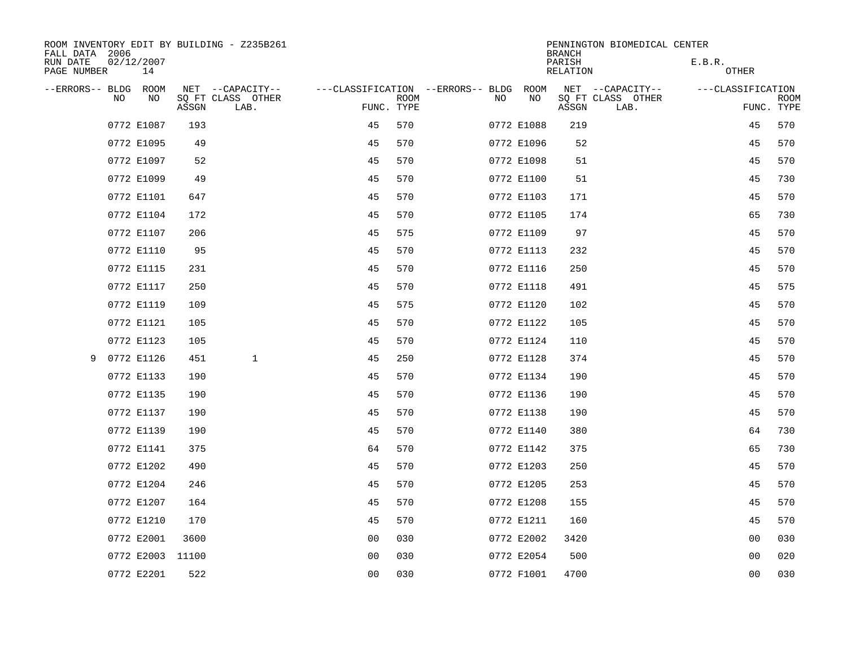| FALL DATA 2006          |     |                  |       | ROOM INVENTORY EDIT BY BUILDING - Z235B261 |                                        |             |     |            | <b>BRANCH</b>      | PENNINGTON BIOMEDICAL CENTER |                   |                           |
|-------------------------|-----|------------------|-------|--------------------------------------------|----------------------------------------|-------------|-----|------------|--------------------|------------------------------|-------------------|---------------------------|
| RUN DATE<br>PAGE NUMBER |     | 02/12/2007<br>14 |       |                                            |                                        |             |     |            | PARISH<br>RELATION |                              | E.B.R.<br>OTHER   |                           |
| --ERRORS-- BLDG ROOM    |     |                  |       | NET --CAPACITY--                           | ---CLASSIFICATION --ERRORS-- BLDG ROOM |             |     |            |                    | NET --CAPACITY--             | ---CLASSIFICATION |                           |
|                         | NO. | NO.              | ASSGN | SQ FT CLASS OTHER<br>LAB.                  | FUNC. TYPE                             | <b>ROOM</b> | NO. | NO         | ASSGN              | SQ FT CLASS OTHER<br>LAB.    |                   | <b>ROOM</b><br>FUNC. TYPE |
|                         |     | 0772 E1087       | 193   |                                            | 45                                     | 570         |     | 0772 E1088 | 219                |                              | 45                | 570                       |
|                         |     | 0772 E1095       | 49    |                                            | 45                                     | 570         |     | 0772 E1096 | 52                 |                              | 45                | 570                       |
|                         |     | 0772 E1097       | 52    |                                            | 45                                     | 570         |     | 0772 E1098 | 51                 |                              | 45                | 570                       |
|                         |     | 0772 E1099       | 49    |                                            | 45                                     | 570         |     | 0772 E1100 | 51                 |                              | 45                | 730                       |
|                         |     | 0772 E1101       | 647   |                                            | 45                                     | 570         |     | 0772 E1103 | 171                |                              | 45                | 570                       |
|                         |     | 0772 E1104       | 172   |                                            | 45                                     | 570         |     | 0772 E1105 | 174                |                              | 65                | 730                       |
|                         |     | 0772 E1107       | 206   |                                            | 45                                     | 575         |     | 0772 E1109 | 97                 |                              | 45                | 570                       |
|                         |     | 0772 E1110       | 95    |                                            | 45                                     | 570         |     | 0772 E1113 | 232                |                              | 45                | 570                       |
|                         |     | 0772 E1115       | 231   |                                            | 45                                     | 570         |     | 0772 E1116 | 250                |                              | 45                | 570                       |
|                         |     | 0772 E1117       | 250   |                                            | 45                                     | 570         |     | 0772 E1118 | 491                |                              | 45                | 575                       |
|                         |     | 0772 E1119       | 109   |                                            | 45                                     | 575         |     | 0772 E1120 | 102                |                              | 45                | 570                       |
|                         |     | 0772 E1121       | 105   |                                            | 45                                     | 570         |     | 0772 E1122 | 105                |                              | 45                | 570                       |
|                         |     | 0772 E1123       | 105   |                                            | 45                                     | 570         |     | 0772 E1124 | 110                |                              | 45                | 570                       |
| 9                       |     | 0772 E1126       | 451   | $\mathbf{1}$                               | 45                                     | 250         |     | 0772 E1128 | 374                |                              | 45                | 570                       |
|                         |     | 0772 E1133       | 190   |                                            | 45                                     | 570         |     | 0772 E1134 | 190                |                              | 45                | 570                       |
|                         |     | 0772 E1135       | 190   |                                            | 45                                     | 570         |     | 0772 E1136 | 190                |                              | 45                | 570                       |
|                         |     | 0772 E1137       | 190   |                                            | 45                                     | 570         |     | 0772 E1138 | 190                |                              | 45                | 570                       |
|                         |     | 0772 E1139       | 190   |                                            | 45                                     | 570         |     | 0772 E1140 | 380                |                              | 64                | 730                       |
|                         |     | 0772 E1141       | 375   |                                            | 64                                     | 570         |     | 0772 E1142 | 375                |                              | 65                | 730                       |
|                         |     | 0772 E1202       | 490   |                                            | 45                                     | 570         |     | 0772 E1203 | 250                |                              | 45                | 570                       |
|                         |     | 0772 E1204       | 246   |                                            | 45                                     | 570         |     | 0772 E1205 | 253                |                              | 45                | 570                       |
|                         |     | 0772 E1207       | 164   |                                            | 45                                     | 570         |     | 0772 E1208 | 155                |                              | 45                | 570                       |
|                         |     | 0772 E1210       | 170   |                                            | 45                                     | 570         |     | 0772 E1211 | 160                |                              | 45                | 570                       |
|                         |     | 0772 E2001       | 3600  |                                            | 0 <sub>0</sub>                         | 030         |     | 0772 E2002 | 3420               |                              | 0 <sub>0</sub>    | 030                       |
|                         |     | 0772 E2003 11100 |       |                                            | 0 <sub>0</sub>                         | 030         |     | 0772 E2054 | 500                |                              | 00                | 020                       |
|                         |     | 0772 E2201       | 522   |                                            | 0 <sub>0</sub>                         | 030         |     | 0772 F1001 | 4700               |                              | 0 <sub>0</sub>    | 030                       |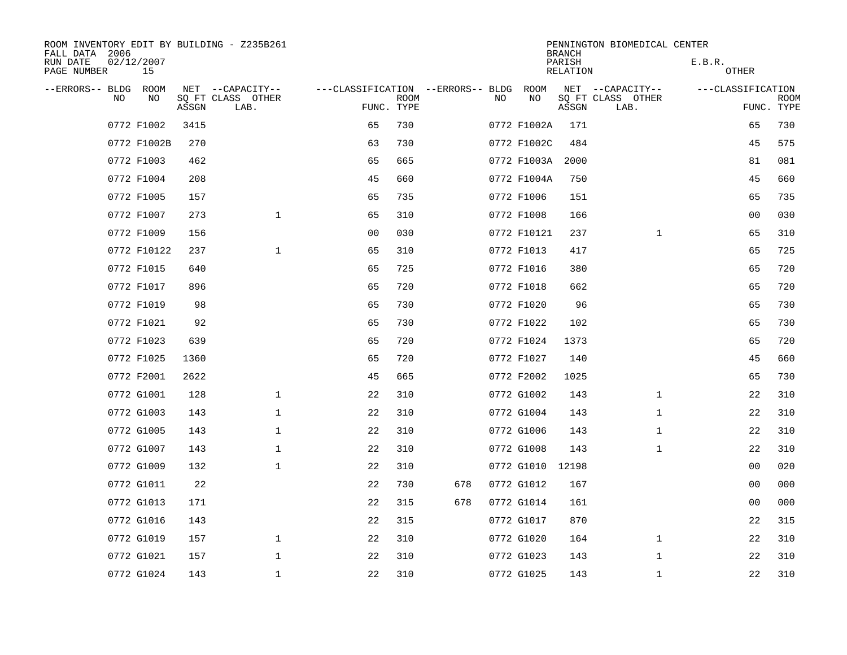| ROOM INVENTORY EDIT BY BUILDING - Z235B261<br>FALL DATA 2006 |                  |       |                           |                                   |             |     |    |             | <b>BRANCH</b>      | PENNINGTON BIOMEDICAL CENTER |                   |                           |
|--------------------------------------------------------------|------------------|-------|---------------------------|-----------------------------------|-------------|-----|----|-------------|--------------------|------------------------------|-------------------|---------------------------|
| RUN DATE<br>PAGE NUMBER                                      | 02/12/2007<br>15 |       |                           |                                   |             |     |    |             | PARISH<br>RELATION |                              | E.B.R.<br>OTHER   |                           |
| --ERRORS-- BLDG ROOM                                         |                  |       | NET --CAPACITY--          | ---CLASSIFICATION --ERRORS-- BLDG |             |     |    | ROOM        |                    | NET --CAPACITY--             | ---CLASSIFICATION |                           |
| NO                                                           | NO               | ASSGN | SQ FT CLASS OTHER<br>LAB. | FUNC. TYPE                        | <b>ROOM</b> |     | NO | NO          | ASSGN              | SQ FT CLASS OTHER<br>LAB.    |                   | <b>ROOM</b><br>FUNC. TYPE |
|                                                              | 0772 F1002       | 3415  |                           | 65                                | 730         |     |    | 0772 F1002A | 171                |                              | 65                | 730                       |
|                                                              | 0772 F1002B      | 270   |                           | 63                                | 730         |     |    | 0772 F1002C | 484                |                              | 45                | 575                       |
|                                                              | 0772 F1003       | 462   |                           | 65                                | 665         |     |    | 0772 F1003A | 2000               |                              | 81                | 081                       |
|                                                              | 0772 F1004       | 208   |                           | 45                                | 660         |     |    | 0772 F1004A | 750                |                              | 45                | 660                       |
|                                                              | 0772 F1005       | 157   |                           | 65                                | 735         |     |    | 0772 F1006  | 151                |                              | 65                | 735                       |
|                                                              | 0772 F1007       | 273   | $\mathbf{1}$              | 65                                | 310         |     |    | 0772 F1008  | 166                |                              | 0 <sub>0</sub>    | 030                       |
|                                                              | 0772 F1009       | 156   |                           | 0 <sub>0</sub>                    | 030         |     |    | 0772 F10121 | 237                | $\mathbf{1}$                 | 65                | 310                       |
|                                                              | 0772 F10122      | 237   | $\mathbf 1$               | 65                                | 310         |     |    | 0772 F1013  | 417                |                              | 65                | 725                       |
|                                                              | 0772 F1015       | 640   |                           | 65                                | 725         |     |    | 0772 F1016  | 380                |                              | 65                | 720                       |
|                                                              | 0772 F1017       | 896   |                           | 65                                | 720         |     |    | 0772 F1018  | 662                |                              | 65                | 720                       |
|                                                              | 0772 F1019       | 98    |                           | 65                                | 730         |     |    | 0772 F1020  | 96                 |                              | 65                | 730                       |
|                                                              | 0772 F1021       | 92    |                           | 65                                | 730         |     |    | 0772 F1022  | 102                |                              | 65                | 730                       |
|                                                              | 0772 F1023       | 639   |                           | 65                                | 720         |     |    | 0772 F1024  | 1373               |                              | 65                | 720                       |
|                                                              | 0772 F1025       | 1360  |                           | 65                                | 720         |     |    | 0772 F1027  | 140                |                              | 45                | 660                       |
|                                                              | 0772 F2001       | 2622  |                           | 45                                | 665         |     |    | 0772 F2002  | 1025               |                              | 65                | 730                       |
|                                                              | 0772 G1001       | 128   | $\mathbf 1$               | 22                                | 310         |     |    | 0772 G1002  | 143                | $\mathbf{1}$                 | 22                | 310                       |
|                                                              | 0772 G1003       | 143   | $\mathbf 1$               | 22                                | 310         |     |    | 0772 G1004  | 143                | $\mathbf{1}$                 | 22                | 310                       |
|                                                              | 0772 G1005       | 143   | $\mathbf{1}$              | 22                                | 310         |     |    | 0772 G1006  | 143                | $\mathbf{1}$                 | 22                | 310                       |
|                                                              | 0772 G1007       | 143   | $\mathbf 1$               | 22                                | 310         |     |    | 0772 G1008  | 143                | $\mathbf{1}$                 | 22                | 310                       |
|                                                              | 0772 G1009       | 132   | $\mathbf{1}$              | 22                                | 310         |     |    | 0772 G1010  | 12198              |                              | 0 <sub>0</sub>    | 020                       |
|                                                              | 0772 G1011       | 22    |                           | 22                                | 730         | 678 |    | 0772 G1012  | 167                |                              | 00                | 000                       |
|                                                              | 0772 G1013       | 171   |                           | 22                                | 315         | 678 |    | 0772 G1014  | 161                |                              | 00                | 000                       |
|                                                              | 0772 G1016       | 143   |                           | 22                                | 315         |     |    | 0772 G1017  | 870                |                              | 22                | 315                       |
|                                                              | 0772 G1019       | 157   | $\mathbf 1$               | 22                                | 310         |     |    | 0772 G1020  | 164                | $\mathbf{1}$                 | 22                | 310                       |
|                                                              | 0772 G1021       | 157   | $\mathbf{1}$              | 22                                | 310         |     |    | 0772 G1023  | 143                | $\mathbf{1}$                 | 22                | 310                       |
|                                                              | 0772 G1024       | 143   | $\mathbf 1$               | 22                                | 310         |     |    | 0772 G1025  | 143                | $\mathbf{1}$                 | 22                | 310                       |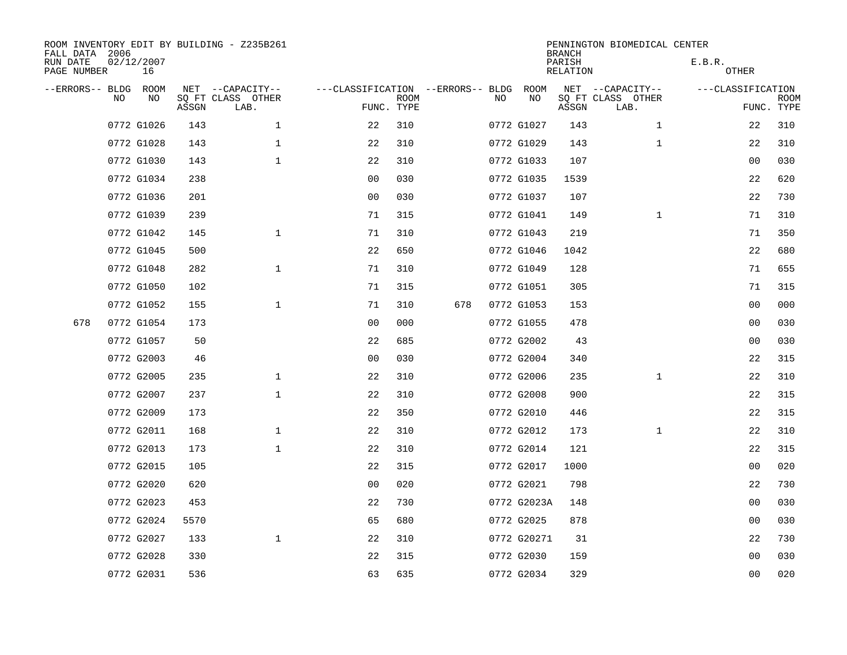| FALL DATA 2006          |    |                  |       | ROOM INVENTORY EDIT BY BUILDING - Z235B261 |                                        |                           |     |    |             | <b>BRANCH</b>             | PENNINGTON BIOMEDICAL CENTER |                        |                           |
|-------------------------|----|------------------|-------|--------------------------------------------|----------------------------------------|---------------------------|-----|----|-------------|---------------------------|------------------------------|------------------------|---------------------------|
| RUN DATE<br>PAGE NUMBER |    | 02/12/2007<br>16 |       |                                            |                                        |                           |     |    |             | PARISH<br><b>RELATION</b> |                              | E.B.R.<br><b>OTHER</b> |                           |
| --ERRORS-- BLDG ROOM    |    |                  |       | NET --CAPACITY--                           | ---CLASSIFICATION --ERRORS-- BLDG ROOM |                           |     |    |             |                           | NET --CAPACITY--             | ---CLASSIFICATION      |                           |
|                         | NO | NO               | ASSGN | SQ FT CLASS OTHER<br>LAB.                  |                                        | <b>ROOM</b><br>FUNC. TYPE |     | NO | NO          | ASSGN                     | SQ FT CLASS OTHER<br>LAB.    |                        | <b>ROOM</b><br>FUNC. TYPE |
|                         |    | 0772 G1026       | 143   | $\mathbf 1$                                | 22                                     | 310                       |     |    | 0772 G1027  | 143                       | $\mathbf{1}$                 | 22                     | 310                       |
|                         |    | 0772 G1028       | 143   | $\mathbf 1$                                | 22                                     | 310                       |     |    | 0772 G1029  | 143                       | $\mathbf{1}$                 | 22                     | 310                       |
|                         |    | 0772 G1030       | 143   | $\mathbf 1$                                | 22                                     | 310                       |     |    | 0772 G1033  | 107                       |                              | 00                     | 030                       |
|                         |    | 0772 G1034       | 238   |                                            | 0 <sub>0</sub>                         | 030                       |     |    | 0772 G1035  | 1539                      |                              | 22                     | 620                       |
|                         |    | 0772 G1036       | 201   |                                            | 0 <sub>0</sub>                         | 030                       |     |    | 0772 G1037  | 107                       |                              | 22                     | 730                       |
|                         |    | 0772 G1039       | 239   |                                            | 71                                     | 315                       |     |    | 0772 G1041  | 149                       | $\mathbf{1}$                 | 71                     | 310                       |
|                         |    | 0772 G1042       | 145   | $\mathbf{1}$                               | 71                                     | 310                       |     |    | 0772 G1043  | 219                       |                              | 71                     | 350                       |
|                         |    | 0772 G1045       | 500   |                                            | 22                                     | 650                       |     |    | 0772 G1046  | 1042                      |                              | 22                     | 680                       |
|                         |    | 0772 G1048       | 282   | $\mathbf{1}$                               | 71                                     | 310                       |     |    | 0772 G1049  | 128                       |                              | 71                     | 655                       |
|                         |    | 0772 G1050       | 102   |                                            | 71                                     | 315                       |     |    | 0772 G1051  | 305                       |                              | 71                     | 315                       |
|                         |    | 0772 G1052       | 155   | $\mathbf 1$                                | 71                                     | 310                       | 678 |    | 0772 G1053  | 153                       |                              | 0 <sub>0</sub>         | 000                       |
| 678                     |    | 0772 G1054       | 173   |                                            | 0 <sub>0</sub>                         | 000                       |     |    | 0772 G1055  | 478                       |                              | 0 <sub>0</sub>         | 030                       |
|                         |    | 0772 G1057       | 50    |                                            | 22                                     | 685                       |     |    | 0772 G2002  | 43                        |                              | 0 <sub>0</sub>         | 030                       |
|                         |    | 0772 G2003       | 46    |                                            | 0 <sub>0</sub>                         | 030                       |     |    | 0772 G2004  | 340                       |                              | 22                     | 315                       |
|                         |    | 0772 G2005       | 235   | $\mathbf{1}$                               | 22                                     | 310                       |     |    | 0772 G2006  | 235                       | $\mathbf{1}$                 | 22                     | 310                       |
|                         |    | 0772 G2007       | 237   | $\mathbf 1$                                | 22                                     | 310                       |     |    | 0772 G2008  | 900                       |                              | 22                     | 315                       |
|                         |    | 0772 G2009       | 173   |                                            | 22                                     | 350                       |     |    | 0772 G2010  | 446                       |                              | 22                     | 315                       |
|                         |    | 0772 G2011       | 168   | $\mathbf 1$                                | 22                                     | 310                       |     |    | 0772 G2012  | 173                       | $\mathbf{1}$                 | 22                     | 310                       |
|                         |    | 0772 G2013       | 173   | $\mathbf 1$                                | 22                                     | 310                       |     |    | 0772 G2014  | 121                       |                              | 22                     | 315                       |
|                         |    | 0772 G2015       | 105   |                                            | 22                                     | 315                       |     |    | 0772 G2017  | 1000                      |                              | 0 <sub>0</sub>         | 020                       |
|                         |    | 0772 G2020       | 620   |                                            | 0 <sub>0</sub>                         | 020                       |     |    | 0772 G2021  | 798                       |                              | 22                     | 730                       |
|                         |    | 0772 G2023       | 453   |                                            | 22                                     | 730                       |     |    | 0772 G2023A | 148                       |                              | 0 <sub>0</sub>         | 030                       |
|                         |    | 0772 G2024       | 5570  |                                            | 65                                     | 680                       |     |    | 0772 G2025  | 878                       |                              | 0 <sub>0</sub>         | 030                       |
|                         |    | 0772 G2027       | 133   | $\mathbf{1}$                               | 22                                     | 310                       |     |    | 0772 G20271 | 31                        |                              | 22                     | 730                       |
|                         |    | 0772 G2028       | 330   |                                            | 22                                     | 315                       |     |    | 0772 G2030  | 159                       |                              | 0 <sub>0</sub>         | 030                       |
|                         |    | 0772 G2031       | 536   |                                            | 63                                     | 635                       |     |    | 0772 G2034  | 329                       |                              | 00                     | 020                       |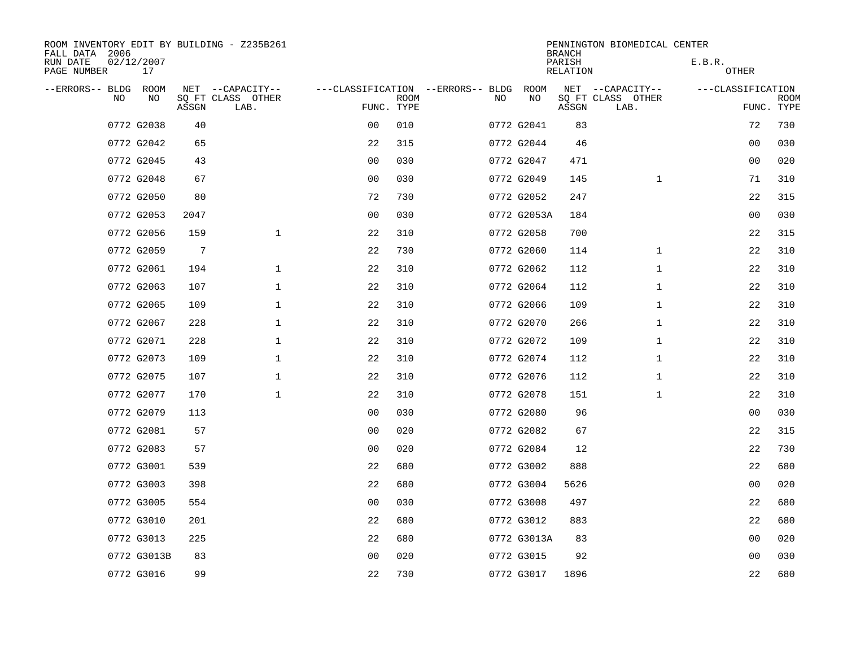| ROOM INVENTORY EDIT BY BUILDING - Z235B261<br>FALL DATA 2006 |                  |                 |                           |                                        |             |     |             | <b>BRANCH</b>      | PENNINGTON BIOMEDICAL CENTER |                   |                           |
|--------------------------------------------------------------|------------------|-----------------|---------------------------|----------------------------------------|-------------|-----|-------------|--------------------|------------------------------|-------------------|---------------------------|
| RUN DATE<br>PAGE NUMBER                                      | 02/12/2007<br>17 |                 |                           |                                        |             |     |             | PARISH<br>RELATION |                              | E.B.R.<br>OTHER   |                           |
| --ERRORS-- BLDG ROOM                                         |                  |                 | NET --CAPACITY--          | ---CLASSIFICATION --ERRORS-- BLDG ROOM |             |     |             |                    | NET --CAPACITY--             | ---CLASSIFICATION |                           |
| NO                                                           | NO               | ASSGN           | SQ FT CLASS OTHER<br>LAB. | FUNC. TYPE                             | <b>ROOM</b> | NO. | NO          | ASSGN              | SQ FT CLASS OTHER<br>LAB.    |                   | <b>ROOM</b><br>FUNC. TYPE |
|                                                              | 0772 G2038       | 40              |                           | 0 <sub>0</sub>                         | 010         |     | 0772 G2041  | 83                 |                              | 72                | 730                       |
|                                                              | 0772 G2042       | 65              |                           | 22                                     | 315         |     | 0772 G2044  | 46                 |                              | 00                | 030                       |
|                                                              | 0772 G2045       | 43              |                           | 0 <sub>0</sub>                         | 030         |     | 0772 G2047  | 471                |                              | 0 <sub>0</sub>    | 020                       |
|                                                              | 0772 G2048       | 67              |                           | 0 <sub>0</sub>                         | 030         |     | 0772 G2049  | 145                | $\mathbf{1}$                 | 71                | 310                       |
|                                                              | 0772 G2050       | 80              |                           | 72                                     | 730         |     | 0772 G2052  | 247                |                              | 22                | 315                       |
|                                                              | 0772 G2053       | 2047            |                           | 0 <sub>0</sub>                         | 030         |     | 0772 G2053A | 184                |                              | 00                | 030                       |
|                                                              | 0772 G2056       | 159             | $\mathbf{1}$              | 22                                     | 310         |     | 0772 G2058  | 700                |                              | 22                | 315                       |
|                                                              | 0772 G2059       | $7\phantom{.0}$ |                           | 22                                     | 730         |     | 0772 G2060  | 114                | $\mathbf{1}$                 | 22                | 310                       |
|                                                              | 0772 G2061       | 194             | $\mathbf 1$               | 22                                     | 310         |     | 0772 G2062  | 112                | $\mathbf{1}$                 | 22                | 310                       |
|                                                              | 0772 G2063       | 107             | $\mathbf 1$               | 22                                     | 310         |     | 0772 G2064  | 112                | $\mathbf{1}$                 | 22                | 310                       |
|                                                              | 0772 G2065       | 109             | $\mathbf 1$               | 22                                     | 310         |     | 0772 G2066  | 109                | $\mathbf{1}$                 | 22                | 310                       |
|                                                              | 0772 G2067       | 228             | $\mathbf 1$               | 22                                     | 310         |     | 0772 G2070  | 266                | $\mathbf{1}$                 | 22                | 310                       |
|                                                              | 0772 G2071       | 228             | $\mathbf 1$               | 22                                     | 310         |     | 0772 G2072  | 109                | $\mathbf{1}$                 | 22                | 310                       |
|                                                              | 0772 G2073       | 109             | $\mathbf 1$               | 22                                     | 310         |     | 0772 G2074  | 112                | $\mathbf{1}$                 | 22                | 310                       |
|                                                              | 0772 G2075       | 107             | $\mathbf{1}$              | 22                                     | 310         |     | 0772 G2076  | 112                | $\mathbf{1}$                 | 22                | 310                       |
|                                                              | 0772 G2077       | 170             | $\mathbf 1$               | 22                                     | 310         |     | 0772 G2078  | 151                | $\mathbf{1}$                 | 22                | 310                       |
|                                                              | 0772 G2079       | 113             |                           | 0 <sub>0</sub>                         | 030         |     | 0772 G2080  | 96                 |                              | 00                | 030                       |
|                                                              | 0772 G2081       | 57              |                           | 0 <sub>0</sub>                         | 020         |     | 0772 G2082  | 67                 |                              | 22                | 315                       |
|                                                              | 0772 G2083       | 57              |                           | 0 <sub>0</sub>                         | 020         |     | 0772 G2084  | 12                 |                              | 22                | 730                       |
|                                                              | 0772 G3001       | 539             |                           | 22                                     | 680         |     | 0772 G3002  | 888                |                              | 22                | 680                       |
|                                                              | 0772 G3003       | 398             |                           | 22                                     | 680         |     | 0772 G3004  | 5626               |                              | 00                | 020                       |
|                                                              | 0772 G3005       | 554             |                           | 0 <sub>0</sub>                         | 030         |     | 0772 G3008  | 497                |                              | 22                | 680                       |
|                                                              | 0772 G3010       | 201             |                           | 22                                     | 680         |     | 0772 G3012  | 883                |                              | 22                | 680                       |
|                                                              | 0772 G3013       | 225             |                           | 22                                     | 680         |     | 0772 G3013A | 83                 |                              | 0 <sub>0</sub>    | 020                       |
|                                                              | 0772 G3013B      | 83              |                           | 0 <sub>0</sub>                         | 020         |     | 0772 G3015  | 92                 |                              | 00                | 030                       |
|                                                              | 0772 G3016       | 99              |                           | 22                                     | 730         |     | 0772 G3017  | 1896               |                              | 22                | 680                       |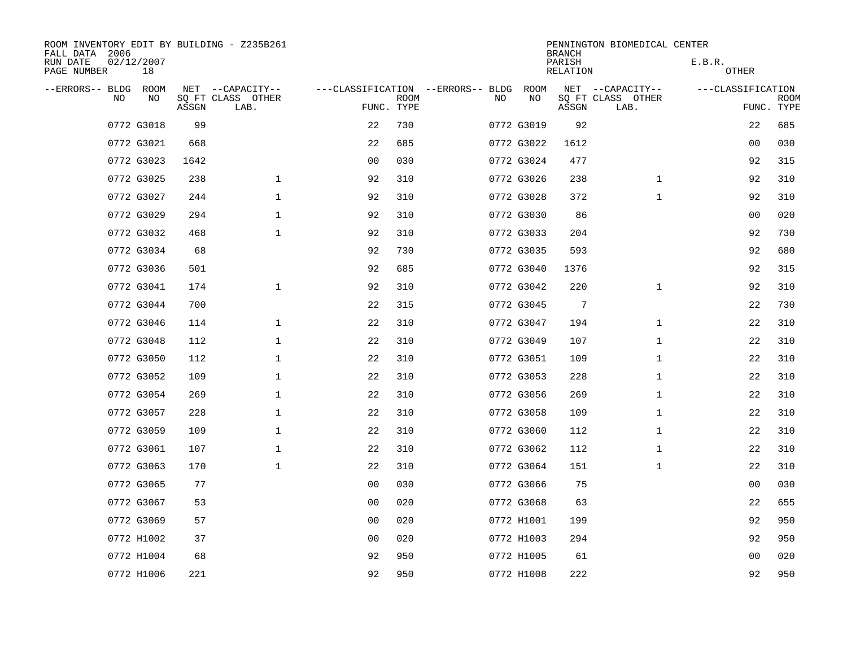| ROOM INVENTORY EDIT BY BUILDING - Z235B261<br>FALL DATA 2006 |                  |       |                           |                |             |                                   |     |            | <b>BRANCH</b>      | PENNINGTON BIOMEDICAL CENTER |                   |                           |
|--------------------------------------------------------------|------------------|-------|---------------------------|----------------|-------------|-----------------------------------|-----|------------|--------------------|------------------------------|-------------------|---------------------------|
| RUN DATE<br>PAGE NUMBER                                      | 02/12/2007<br>18 |       |                           |                |             |                                   |     |            | PARISH<br>RELATION |                              | E.B.R.<br>OTHER   |                           |
| --ERRORS-- BLDG ROOM                                         |                  |       | NET --CAPACITY--          |                |             | ---CLASSIFICATION --ERRORS-- BLDG |     | ROOM       |                    | NET --CAPACITY--             | ---CLASSIFICATION |                           |
| NO.                                                          | NO.              | ASSGN | SQ FT CLASS OTHER<br>LAB. | FUNC. TYPE     | <b>ROOM</b> |                                   | NO. | NO         | ASSGN              | SQ FT CLASS OTHER<br>LAB.    |                   | <b>ROOM</b><br>FUNC. TYPE |
|                                                              | 0772 G3018       | 99    |                           | 22             | 730         |                                   |     | 0772 G3019 | 92                 |                              | 22                | 685                       |
|                                                              | 0772 G3021       | 668   |                           | 22             | 685         |                                   |     | 0772 G3022 | 1612               |                              | 0 <sub>0</sub>    | 030                       |
|                                                              | 0772 G3023       | 1642  |                           | 0 <sub>0</sub> | 030         |                                   |     | 0772 G3024 | 477                |                              | 92                | 315                       |
|                                                              | 0772 G3025       | 238   | $\mathbf 1$               | 92             | 310         |                                   |     | 0772 G3026 | 238                | $\mathbf{1}$                 | 92                | 310                       |
|                                                              | 0772 G3027       | 244   | $\mathbf 1$               | 92             | 310         |                                   |     | 0772 G3028 | 372                | $\mathbf{1}$                 | 92                | 310                       |
|                                                              | 0772 G3029       | 294   | $\mathbf{1}$              | 92             | 310         |                                   |     | 0772 G3030 | 86                 |                              | 00                | 020                       |
|                                                              | 0772 G3032       | 468   | $\mathbf{1}$              | 92             | 310         |                                   |     | 0772 G3033 | 204                |                              | 92                | 730                       |
|                                                              | 0772 G3034       | 68    |                           | 92             | 730         |                                   |     | 0772 G3035 | 593                |                              | 92                | 680                       |
|                                                              | 0772 G3036       | 501   |                           | 92             | 685         |                                   |     | 0772 G3040 | 1376               |                              | 92                | 315                       |
|                                                              | 0772 G3041       | 174   | $\mathbf{1}$              | 92             | 310         |                                   |     | 0772 G3042 | 220                | $\mathbf{1}$                 | 92                | 310                       |
|                                                              | 0772 G3044       | 700   |                           | 22             | 315         |                                   |     | 0772 G3045 | 7                  |                              | 22                | 730                       |
|                                                              | 0772 G3046       | 114   | $\mathbf 1$               | 22             | 310         |                                   |     | 0772 G3047 | 194                | $\mathbf{1}$                 | 22                | 310                       |
|                                                              | 0772 G3048       | 112   | $\mathbf 1$               | 22             | 310         |                                   |     | 0772 G3049 | 107                | $\mathbf{1}$                 | 22                | 310                       |
|                                                              | 0772 G3050       | 112   | $\mathbf 1$               | 22             | 310         |                                   |     | 0772 G3051 | 109                | $\mathbf{1}$                 | 22                | 310                       |
|                                                              | 0772 G3052       | 109   | $\mathbf 1$               | 22             | 310         |                                   |     | 0772 G3053 | 228                | $\mathbf{1}$                 | 22                | 310                       |
|                                                              | 0772 G3054       | 269   | $\mathbf{1}$              | 22             | 310         |                                   |     | 0772 G3056 | 269                | $\mathbf{1}$                 | 22                | 310                       |
|                                                              | 0772 G3057       | 228   | 1                         | 22             | 310         |                                   |     | 0772 G3058 | 109                | $\mathbf{1}$                 | 22                | 310                       |
|                                                              | 0772 G3059       | 109   | $\mathbf 1$               | 22             | 310         |                                   |     | 0772 G3060 | 112                | $\mathbf{1}$                 | 22                | 310                       |
|                                                              | 0772 G3061       | 107   | $\mathbf 1$               | 22             | 310         |                                   |     | 0772 G3062 | 112                | $\mathbf{1}$                 | 22                | 310                       |
|                                                              | 0772 G3063       | 170   | $\mathbf{1}$              | 22             | 310         |                                   |     | 0772 G3064 | 151                | $\mathbf{1}$                 | 22                | 310                       |
|                                                              | 0772 G3065       | 77    |                           | 0 <sub>0</sub> | 030         |                                   |     | 0772 G3066 | 75                 |                              | 0 <sub>0</sub>    | 030                       |
|                                                              | 0772 G3067       | 53    |                           | 0 <sub>0</sub> | 020         |                                   |     | 0772 G3068 | 63                 |                              | 22                | 655                       |
|                                                              | 0772 G3069       | 57    |                           | 0 <sub>0</sub> | 020         |                                   |     | 0772 H1001 | 199                |                              | 92                | 950                       |
|                                                              | 0772 H1002       | 37    |                           | 0 <sub>0</sub> | 020         |                                   |     | 0772 H1003 | 294                |                              | 92                | 950                       |
|                                                              | 0772 H1004       | 68    |                           | 92             | 950         |                                   |     | 0772 H1005 | 61                 |                              | 00                | 020                       |
|                                                              | 0772 H1006       | 221   |                           | 92             | 950         |                                   |     | 0772 H1008 | 222                |                              | 92                | 950                       |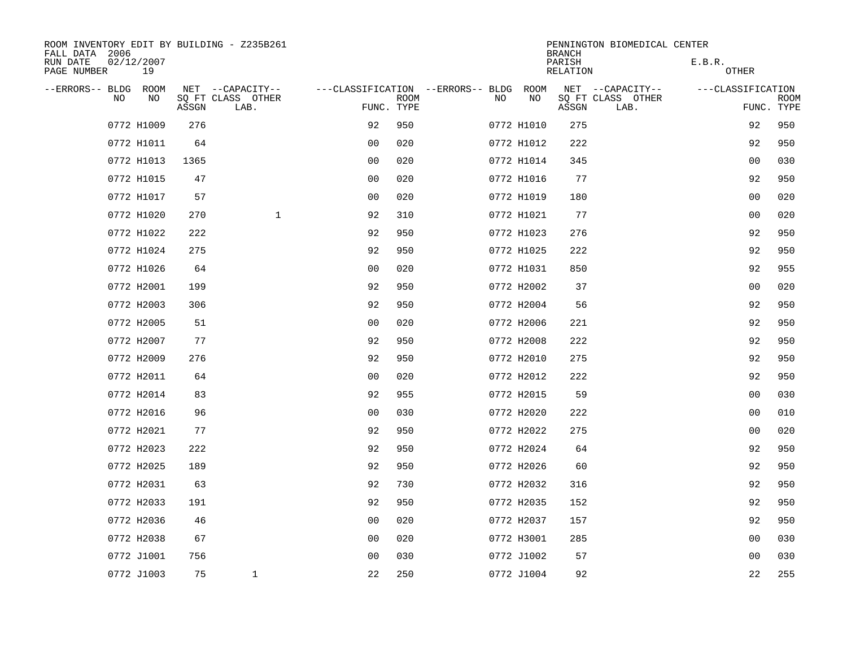| ROOM INVENTORY EDIT BY BUILDING - Z235B261<br>FALL DATA 2006 |                  |       |                           |                |             |                                        |            | <b>BRANCH</b>      | PENNINGTON BIOMEDICAL CENTER |                   |                           |
|--------------------------------------------------------------|------------------|-------|---------------------------|----------------|-------------|----------------------------------------|------------|--------------------|------------------------------|-------------------|---------------------------|
| RUN DATE<br>PAGE NUMBER                                      | 02/12/2007<br>19 |       |                           |                |             |                                        |            | PARISH<br>RELATION |                              | E.B.R.<br>OTHER   |                           |
| --ERRORS-- BLDG ROOM                                         |                  |       | NET --CAPACITY--          |                |             | ---CLASSIFICATION --ERRORS-- BLDG ROOM |            |                    | NET --CAPACITY--             | ---CLASSIFICATION |                           |
| NO                                                           | NO               | ASSGN | SQ FT CLASS OTHER<br>LAB. | FUNC. TYPE     | <b>ROOM</b> | NO                                     | NO         | ASSGN              | SQ FT CLASS OTHER<br>LAB.    |                   | <b>ROOM</b><br>FUNC. TYPE |
|                                                              | 0772 H1009       | 276   |                           | 92             | 950         |                                        | 0772 H1010 | 275                |                              | 92                | 950                       |
|                                                              | 0772 H1011       | 64    |                           | 0 <sub>0</sub> | 020         |                                        | 0772 H1012 | 222                |                              | 92                | 950                       |
|                                                              | 0772 H1013       | 1365  |                           | 0 <sub>0</sub> | 020         |                                        | 0772 H1014 | 345                |                              | 0 <sub>0</sub>    | 030                       |
|                                                              | 0772 H1015       | 47    |                           | 0 <sub>0</sub> | 020         |                                        | 0772 H1016 | 77                 |                              | 92                | 950                       |
|                                                              | 0772 H1017       | 57    |                           | 00             | 020         |                                        | 0772 H1019 | 180                |                              | 00                | 020                       |
|                                                              | 0772 H1020       | 270   | $\mathbf{1}$              | 92             | 310         |                                        | 0772 H1021 | 77                 |                              | 00                | 020                       |
|                                                              | 0772 H1022       | 222   |                           | 92             | 950         |                                        | 0772 H1023 | 276                |                              | 92                | 950                       |
|                                                              | 0772 H1024       | 275   |                           | 92             | 950         |                                        | 0772 H1025 | 222                |                              | 92                | 950                       |
|                                                              | 0772 H1026       | 64    |                           | 0 <sub>0</sub> | 020         |                                        | 0772 H1031 | 850                |                              | 92                | 955                       |
|                                                              | 0772 H2001       | 199   |                           | 92             | 950         |                                        | 0772 H2002 | 37                 |                              | 0 <sub>0</sub>    | 020                       |
|                                                              | 0772 H2003       | 306   |                           | 92             | 950         |                                        | 0772 H2004 | 56                 |                              | 92                | 950                       |
|                                                              | 0772 H2005       | 51    |                           | 0 <sub>0</sub> | 020         |                                        | 0772 H2006 | 221                |                              | 92                | 950                       |
|                                                              | 0772 H2007       | 77    |                           | 92             | 950         |                                        | 0772 H2008 | 222                |                              | 92                | 950                       |
|                                                              | 0772 H2009       | 276   |                           | 92             | 950         |                                        | 0772 H2010 | 275                |                              | 92                | 950                       |
|                                                              | 0772 H2011       | 64    |                           | 0 <sup>0</sup> | 020         |                                        | 0772 H2012 | 222                |                              | 92                | 950                       |
|                                                              | 0772 H2014       | 83    |                           | 92             | 955         |                                        | 0772 H2015 | 59                 |                              | 0 <sub>0</sub>    | 030                       |
|                                                              | 0772 H2016       | 96    |                           | 0 <sub>0</sub> | 030         |                                        | 0772 H2020 | 222                |                              | 00                | 010                       |
|                                                              | 0772 H2021       | 77    |                           | 92             | 950         |                                        | 0772 H2022 | 275                |                              | 00                | 020                       |
|                                                              | 0772 H2023       | 222   |                           | 92             | 950         |                                        | 0772 H2024 | 64                 |                              | 92                | 950                       |
|                                                              | 0772 H2025       | 189   |                           | 92             | 950         |                                        | 0772 H2026 | 60                 |                              | 92                | 950                       |
|                                                              | 0772 H2031       | 63    |                           | 92             | 730         |                                        | 0772 H2032 | 316                |                              | 92                | 950                       |
|                                                              | 0772 H2033       | 191   |                           | 92             | 950         |                                        | 0772 H2035 | 152                |                              | 92                | 950                       |
|                                                              | 0772 H2036       | 46    |                           | 0 <sub>0</sub> | 020         |                                        | 0772 H2037 | 157                |                              | 92                | 950                       |
|                                                              | 0772 H2038       | 67    |                           | 0 <sub>0</sub> | 020         |                                        | 0772 H3001 | 285                |                              | 0 <sub>0</sub>    | 030                       |
|                                                              | 0772 J1001       | 756   |                           | 0 <sub>0</sub> | 030         |                                        | 0772 J1002 | 57                 |                              | 00                | 030                       |
|                                                              | 0772 J1003       | 75    | $\mathbf{1}$              | 22             | 250         |                                        | 0772 J1004 | 92                 |                              | 22                | 255                       |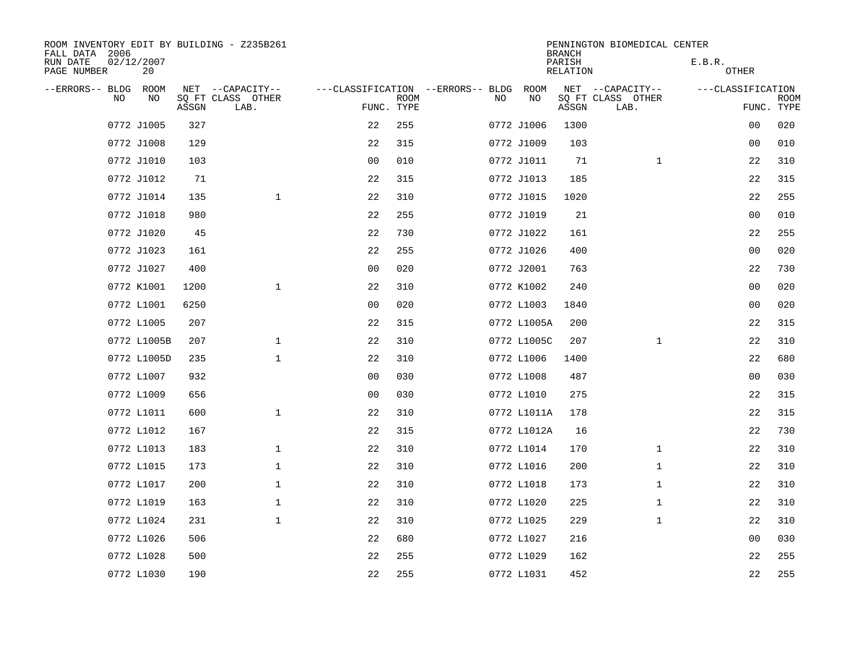| ROOM INVENTORY EDIT BY BUILDING - Z235B261<br>FALL DATA 2006 |      |       |                           |                                   |             |    |             | <b>BRANCH</b>      | PENNINGTON BIOMEDICAL CENTER |                   |                           |
|--------------------------------------------------------------|------|-------|---------------------------|-----------------------------------|-------------|----|-------------|--------------------|------------------------------|-------------------|---------------------------|
| RUN DATE<br>02/12/2007<br>PAGE NUMBER                        | 20   |       |                           |                                   |             |    |             | PARISH<br>RELATION |                              | E.B.R.<br>OTHER   |                           |
| --ERRORS-- BLDG                                              | ROOM |       | NET --CAPACITY--          | ---CLASSIFICATION --ERRORS-- BLDG |             |    | ROOM        |                    | NET --CAPACITY--             | ---CLASSIFICATION |                           |
| NO                                                           | NO   | ASSGN | SQ FT CLASS OTHER<br>LAB. | FUNC. TYPE                        | <b>ROOM</b> | NO | NO          | ASSGN              | SQ FT CLASS OTHER<br>LAB.    |                   | <b>ROOM</b><br>FUNC. TYPE |
| 0772 J1005                                                   |      | 327   |                           | 22                                | 255         |    | 0772 J1006  | 1300               |                              | 0 <sub>0</sub>    | 020                       |
| 0772 J1008                                                   |      | 129   |                           | 22                                | 315         |    | 0772 J1009  | 103                |                              | 00                | 010                       |
| 0772 J1010                                                   |      | 103   |                           | 0 <sub>0</sub>                    | 010         |    | 0772 J1011  | 71                 | $\mathbf{1}$                 | 22                | 310                       |
| 0772 J1012                                                   |      | 71    |                           | 22                                | 315         |    | 0772 J1013  | 185                |                              | 22                | 315                       |
| 0772 J1014                                                   |      | 135   | $\mathbf 1$               | 22                                | 310         |    | 0772 J1015  | 1020               |                              | 22                | 255                       |
| 0772 J1018                                                   |      | 980   |                           | 22                                | 255         |    | 0772 J1019  | 21                 |                              | 00                | 010                       |
| 0772 J1020                                                   |      | 45    |                           | 22                                | 730         |    | 0772 J1022  | 161                |                              | 22                | 255                       |
| 0772 J1023                                                   |      | 161   |                           | 22                                | 255         |    | 0772 J1026  | 400                |                              | 0 <sub>0</sub>    | 020                       |
| 0772 J1027                                                   |      | 400   |                           | 0 <sub>0</sub>                    | 020         |    | 0772 J2001  | 763                |                              | 22                | 730                       |
| 0772 K1001                                                   |      | 1200  | $\mathbf{1}$              | 22                                | 310         |    | 0772 K1002  | 240                |                              | 0 <sub>0</sub>    | 020                       |
| 0772 L1001                                                   |      | 6250  |                           | 0 <sub>0</sub>                    | 020         |    | 0772 L1003  | 1840               |                              | 0 <sub>0</sub>    | 020                       |
| 0772 L1005                                                   |      | 207   |                           | 22                                | 315         |    | 0772 L1005A | 200                |                              | 22                | 315                       |
| 0772 L1005B                                                  |      | 207   | $\mathbf 1$               | 22                                | 310         |    | 0772 L1005C | 207                | $\mathbf{1}$                 | 22                | 310                       |
| 0772 L1005D                                                  |      | 235   | $\mathbf{1}$              | 22                                | 310         |    | 0772 L1006  | 1400               |                              | 22                | 680                       |
| 0772 L1007                                                   |      | 932   |                           | 0 <sub>0</sub>                    | 030         |    | 0772 L1008  | 487                |                              | 0 <sub>0</sub>    | 030                       |
| 0772 L1009                                                   |      | 656   |                           | 0 <sub>0</sub>                    | 030         |    | 0772 L1010  | 275                |                              | 22                | 315                       |
| 0772 L1011                                                   |      | 600   | $\mathbf{1}$              | 22                                | 310         |    | 0772 L1011A | 178                |                              | 22                | 315                       |
| 0772 L1012                                                   |      | 167   |                           | 22                                | 315         |    | 0772 L1012A | 16                 |                              | 22                | 730                       |
| 0772 L1013                                                   |      | 183   | $\mathbf{1}$              | 22                                | 310         |    | 0772 L1014  | 170                | $\mathbf{1}$                 | 22                | 310                       |
| 0772 L1015                                                   |      | 173   | $\mathbf 1$               | 22                                | 310         |    | 0772 L1016  | 200                | $\mathbf{1}$                 | 22                | 310                       |
| 0772 L1017                                                   |      | 200   | $\mathbf 1$               | 22                                | 310         |    | 0772 L1018  | 173                | $\mathbf{1}$                 | 22                | 310                       |
| 0772 L1019                                                   |      | 163   | $\mathbf 1$               | 22                                | 310         |    | 0772 L1020  | 225                | $\mathbf{1}$                 | 22                | 310                       |
| 0772 L1024                                                   |      | 231   | $\mathbf{1}$              | 22                                | 310         |    | 0772 L1025  | 229                | $\mathbf{1}$                 | 22                | 310                       |
| 0772 L1026                                                   |      | 506   |                           | 22                                | 680         |    | 0772 L1027  | 216                |                              | 0 <sub>0</sub>    | 030                       |
| 0772 L1028                                                   |      | 500   |                           | 22                                | 255         |    | 0772 L1029  | 162                |                              | 22                | 255                       |
| 0772 L1030                                                   |      | 190   |                           | 22                                | 255         |    | 0772 L1031  | 452                |                              | 22                | 255                       |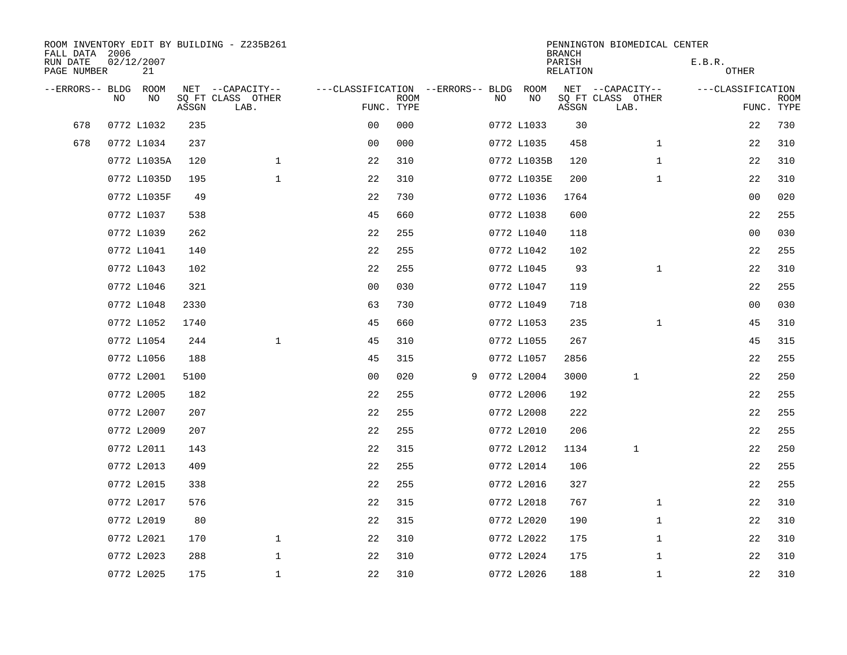| FALL DATA 2006          |                |      |       | ROOM INVENTORY EDIT BY BUILDING - Z235B261 |                                   |             |   |     |             | <b>BRANCH</b>      | PENNINGTON BIOMEDICAL CENTER |                   |                           |
|-------------------------|----------------|------|-------|--------------------------------------------|-----------------------------------|-------------|---|-----|-------------|--------------------|------------------------------|-------------------|---------------------------|
| RUN DATE<br>PAGE NUMBER | 02/12/2007     | 21   |       |                                            |                                   |             |   |     |             | PARISH<br>RELATION |                              | E.B.R.<br>OTHER   |                           |
| --ERRORS-- BLDG         |                | ROOM |       | NET --CAPACITY--                           | ---CLASSIFICATION --ERRORS-- BLDG |             |   |     | ROOM        |                    | NET --CAPACITY--             | ---CLASSIFICATION |                           |
|                         | N <sub>O</sub> | NO.  | ASSGN | SO FT CLASS OTHER<br>LAB.                  | FUNC. TYPE                        | <b>ROOM</b> |   | NO. | NO          | ASSGN              | SQ FT CLASS OTHER<br>LAB.    |                   | <b>ROOM</b><br>FUNC. TYPE |
| 678                     | 0772 L1032     |      | 235   |                                            | 0 <sub>0</sub>                    | 000         |   |     | 0772 L1033  | 30                 |                              | 22                | 730                       |
| 678                     | 0772 L1034     |      | 237   |                                            | 0 <sub>0</sub>                    | 000         |   |     | 0772 L1035  | 458                | $\mathbf{1}$                 | 22                | 310                       |
|                         | 0772 L1035A    |      | 120   | $\mathbf 1$                                | 22                                | 310         |   |     | 0772 L1035B | 120                | $\mathbf{1}$                 | 22                | 310                       |
|                         | 0772 L1035D    |      | 195   | $\mathbf{1}$                               | 22                                | 310         |   |     | 0772 L1035E | 200                | $\mathbf{1}$                 | 22                | 310                       |
|                         | 0772 L1035F    |      | 49    |                                            | 22                                | 730         |   |     | 0772 L1036  | 1764               |                              | 0 <sub>0</sub>    | 020                       |
|                         | 0772 L1037     |      | 538   |                                            | 45                                | 660         |   |     | 0772 L1038  | 600                |                              | 22                | 255                       |
|                         | 0772 L1039     |      | 262   |                                            | 22                                | 255         |   |     | 0772 L1040  | 118                |                              | 0 <sub>0</sub>    | 030                       |
|                         | 0772 L1041     |      | 140   |                                            | 22                                | 255         |   |     | 0772 L1042  | 102                |                              | 22                | 255                       |
|                         | 0772 L1043     |      | 102   |                                            | 22                                | 255         |   |     | 0772 L1045  | 93                 | $\mathbf{1}$                 | 22                | 310                       |
|                         | 0772 L1046     |      | 321   |                                            | 0 <sub>0</sub>                    | 030         |   |     | 0772 L1047  | 119                |                              | 22                | 255                       |
|                         | 0772 L1048     |      | 2330  |                                            | 63                                | 730         |   |     | 0772 L1049  | 718                |                              | 0 <sub>0</sub>    | 030                       |
|                         | 0772 L1052     |      | 1740  |                                            | 45                                | 660         |   |     | 0772 L1053  | 235                | $\mathbf{1}$                 | 45                | 310                       |
|                         | 0772 L1054     |      | 244   | $\mathbf{1}$                               | 45                                | 310         |   |     | 0772 L1055  | 267                |                              | 45                | 315                       |
|                         | 0772 L1056     |      | 188   |                                            | 45                                | 315         |   |     | 0772 L1057  | 2856               |                              | 22                | 255                       |
|                         | 0772 L2001     |      | 5100  |                                            | 0 <sub>0</sub>                    | 020         | 9 |     | 0772 L2004  | 3000               | 1                            | 22                | 250                       |
|                         | 0772 L2005     |      | 182   |                                            | 22                                | 255         |   |     | 0772 L2006  | 192                |                              | 22                | 255                       |
|                         | 0772 L2007     |      | 207   |                                            | 22                                | 255         |   |     | 0772 L2008  | 222                |                              | 22                | 255                       |
|                         | 0772 L2009     |      | 207   |                                            | 22                                | 255         |   |     | 0772 L2010  | 206                |                              | 22                | 255                       |
|                         | 0772 L2011     |      | 143   |                                            | 22                                | 315         |   |     | 0772 L2012  | 1134               | $\mathbf{1}$                 | 22                | 250                       |
|                         | 0772 L2013     |      | 409   |                                            | 22                                | 255         |   |     | 0772 L2014  | 106                |                              | 22                | 255                       |
|                         | 0772 L2015     |      | 338   |                                            | 22                                | 255         |   |     | 0772 L2016  | 327                |                              | 22                | 255                       |
|                         | 0772 L2017     |      | 576   |                                            | 22                                | 315         |   |     | 0772 L2018  | 767                | $\mathbf{1}$                 | 22                | 310                       |
|                         | 0772 L2019     |      | 80    |                                            | 22                                | 315         |   |     | 0772 L2020  | 190                | $\mathbf{1}$                 | 22                | 310                       |
|                         | 0772 L2021     |      | 170   | $\mathbf{1}$                               | 22                                | 310         |   |     | 0772 L2022  | 175                | $\mathbf{1}$                 | 22                | 310                       |
|                         | 0772 L2023     |      | 288   | $\mathbf{1}$                               | 22                                | 310         |   |     | 0772 L2024  | 175                | $\mathbf{1}$                 | 22                | 310                       |
|                         | 0772 L2025     |      | 175   | $\mathbf 1$                                | 22                                | 310         |   |     | 0772 L2026  | 188                | $\mathbf{1}$                 | 22                | 310                       |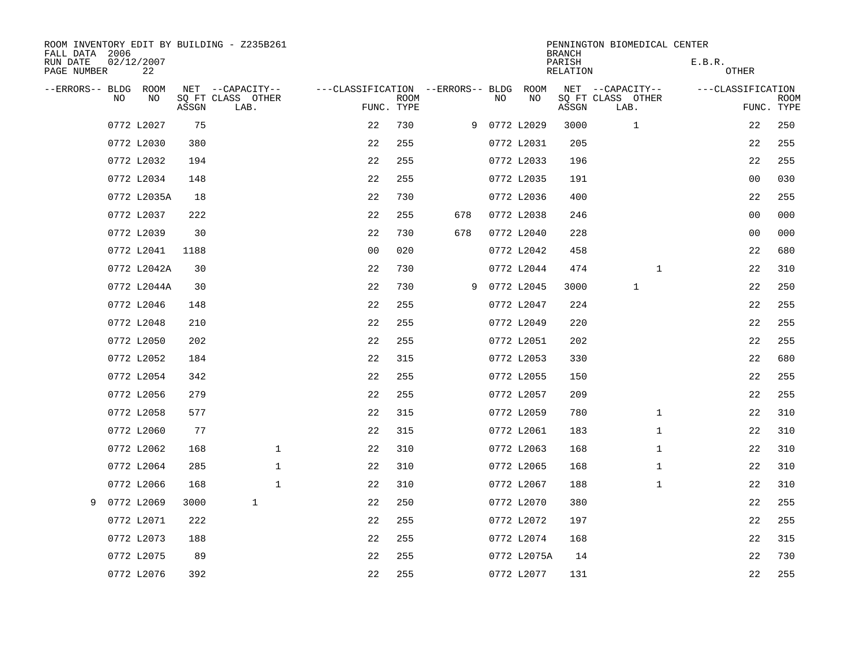| ROOM INVENTORY EDIT BY BUILDING - Z235B261<br>FALL DATA 2006 |             |      |       |                   |              |              |            |             |                                   |    |              | <b>BRANCH</b>      | PENNINGTON BIOMEDICAL CENTER |              |                   |                           |
|--------------------------------------------------------------|-------------|------|-------|-------------------|--------------|--------------|------------|-------------|-----------------------------------|----|--------------|--------------------|------------------------------|--------------|-------------------|---------------------------|
| RUN DATE<br>PAGE NUMBER                                      | 02/12/2007  | 22   |       |                   |              |              |            |             |                                   |    |              | PARISH<br>RELATION |                              |              | E.B.R.<br>OTHER   |                           |
| --ERRORS-- BLDG                                              |             | ROOM |       | NET --CAPACITY--  |              |              |            |             | ---CLASSIFICATION --ERRORS-- BLDG |    | ROOM         |                    | NET --CAPACITY--             |              | ---CLASSIFICATION |                           |
|                                                              | NO          | NO   | ASSGN | SQ FT CLASS OTHER | LAB.         |              | FUNC. TYPE | <b>ROOM</b> |                                   | NO | NO           | ASSGN              | SQ FT CLASS OTHER<br>LAB.    |              |                   | <b>ROOM</b><br>FUNC. TYPE |
|                                                              | 0772 L2027  |      | 75    |                   |              |              | 22         | 730         |                                   |    | 9 0772 L2029 | 3000               | 1                            |              | 22                | 250                       |
|                                                              | 0772 L2030  |      | 380   |                   |              |              | 22         | 255         |                                   |    | 0772 L2031   | 205                |                              |              | 22                | 255                       |
|                                                              | 0772 L2032  |      | 194   |                   |              |              | 22         | 255         |                                   |    | 0772 L2033   | 196                |                              |              | 22                | 255                       |
|                                                              | 0772 L2034  |      | 148   |                   |              |              | 22         | 255         |                                   |    | 0772 L2035   | 191                |                              |              | 0 <sub>0</sub>    | 030                       |
|                                                              | 0772 L2035A |      | 18    |                   |              |              | 22         | 730         |                                   |    | 0772 L2036   | 400                |                              |              | 22                | 255                       |
|                                                              | 0772 L2037  |      | 222   |                   |              |              | 22         | 255         | 678                               |    | 0772 L2038   | 246                |                              |              | 0 <sub>0</sub>    | 000                       |
|                                                              | 0772 L2039  |      | 30    |                   |              |              | 22         | 730         | 678                               |    | 0772 L2040   | 228                |                              |              | 0 <sub>0</sub>    | 000                       |
|                                                              | 0772 L2041  |      | 1188  |                   |              |              | 00         | 020         |                                   |    | 0772 L2042   | 458                |                              |              | 22                | 680                       |
|                                                              | 0772 L2042A |      | 30    |                   |              |              | 22         | 730         |                                   |    | 0772 L2044   | 474                |                              | $\mathbf{1}$ | 22                | 310                       |
|                                                              | 0772 L2044A |      | 30    |                   |              |              | 22         | 730         | 9                                 |    | 0772 L2045   | 3000               | $\mathbf{1}$                 |              | 22                | 250                       |
|                                                              | 0772 L2046  |      | 148   |                   |              |              | 22         | 255         |                                   |    | 0772 L2047   | 224                |                              |              | 22                | 255                       |
|                                                              | 0772 L2048  |      | 210   |                   |              |              | 22         | 255         |                                   |    | 0772 L2049   | 220                |                              |              | 22                | 255                       |
|                                                              | 0772 L2050  |      | 202   |                   |              |              | 22         | 255         |                                   |    | 0772 L2051   | 202                |                              |              | 22                | 255                       |
|                                                              | 0772 L2052  |      | 184   |                   |              |              | 22         | 315         |                                   |    | 0772 L2053   | 330                |                              |              | 22                | 680                       |
|                                                              | 0772 L2054  |      | 342   |                   |              |              | 22         | 255         |                                   |    | 0772 L2055   | 150                |                              |              | 22                | 255                       |
|                                                              | 0772 L2056  |      | 279   |                   |              |              | 22         | 255         |                                   |    | 0772 L2057   | 209                |                              |              | 22                | 255                       |
|                                                              | 0772 L2058  |      | 577   |                   |              |              | 22         | 315         |                                   |    | 0772 L2059   | 780                |                              | $\mathbf{1}$ | 22                | 310                       |
|                                                              | 0772 L2060  |      | 77    |                   |              |              | 22         | 315         |                                   |    | 0772 L2061   | 183                |                              | $\mathbf{1}$ | 22                | 310                       |
|                                                              | 0772 L2062  |      | 168   |                   |              | $\mathbf{1}$ | 22         | 310         |                                   |    | 0772 L2063   | 168                |                              | $\mathbf{1}$ | 22                | 310                       |
|                                                              | 0772 L2064  |      | 285   |                   |              | $\mathbf{1}$ | 22         | 310         |                                   |    | 0772 L2065   | 168                |                              | $\mathbf{1}$ | 22                | 310                       |
|                                                              | 0772 L2066  |      | 168   |                   |              | $\mathbf{1}$ | 22         | 310         |                                   |    | 0772 L2067   | 188                |                              | $\mathbf{1}$ | 22                | 310                       |
| 9                                                            | 0772 L2069  |      | 3000  |                   | $\mathbf{1}$ |              | 22         | 250         |                                   |    | 0772 L2070   | 380                |                              |              | 22                | 255                       |
|                                                              | 0772 L2071  |      | 222   |                   |              |              | 22         | 255         |                                   |    | 0772 L2072   | 197                |                              |              | 22                | 255                       |
|                                                              | 0772 L2073  |      | 188   |                   |              |              | 22         | 255         |                                   |    | 0772 L2074   | 168                |                              |              | 22                | 315                       |
|                                                              | 0772 L2075  |      | 89    |                   |              |              | 22         | 255         |                                   |    | 0772 L2075A  | 14                 |                              |              | 22                | 730                       |
|                                                              | 0772 L2076  |      | 392   |                   |              |              | 22         | 255         |                                   |    | 0772 L2077   | 131                |                              |              | 22                | 255                       |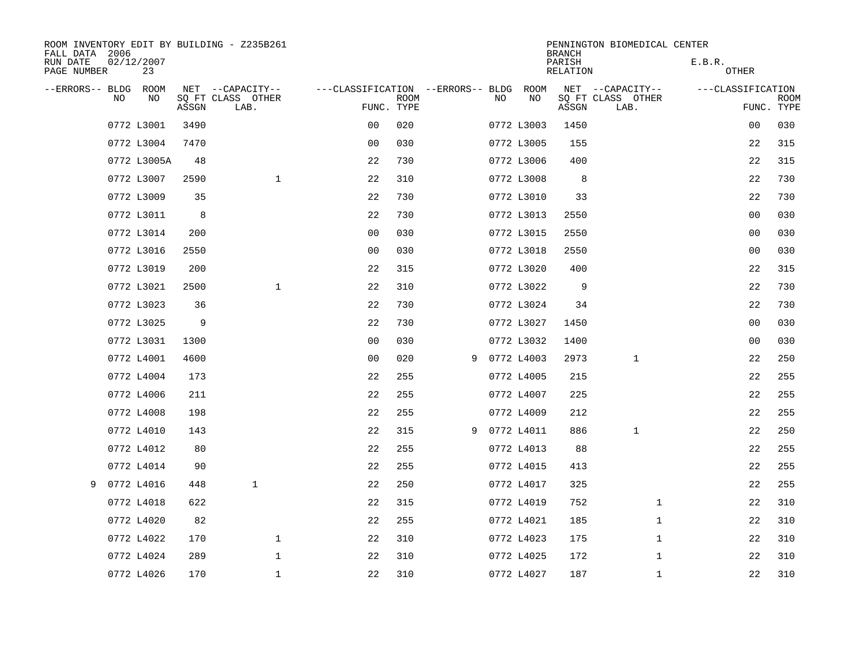| FALL DATA 2006          |                  |       | ROOM INVENTORY EDIT BY BUILDING - Z235B261 |                                   |             |    |              | <b>BRANCH</b>             | PENNINGTON BIOMEDICAL CENTER |                   |                           |
|-------------------------|------------------|-------|--------------------------------------------|-----------------------------------|-------------|----|--------------|---------------------------|------------------------------|-------------------|---------------------------|
| RUN DATE<br>PAGE NUMBER | 02/12/2007<br>23 |       |                                            |                                   |             |    |              | PARISH<br><b>RELATION</b> |                              | E.B.R.<br>OTHER   |                           |
| --ERRORS-- BLDG ROOM    |                  |       | NET --CAPACITY--                           | ---CLASSIFICATION --ERRORS-- BLDG |             |    | ROOM         |                           | NET --CAPACITY--             | ---CLASSIFICATION |                           |
| NO                      | NO               | ASSGN | SQ FT CLASS OTHER<br>LAB.                  | FUNC. TYPE                        | <b>ROOM</b> | NO | NO           | ASSGN                     | SQ FT CLASS OTHER<br>LAB.    |                   | <b>ROOM</b><br>FUNC. TYPE |
|                         | 0772 L3001       | 3490  |                                            | 0 <sub>0</sub>                    | 020         |    | 0772 L3003   | 1450                      |                              | 00                | 030                       |
|                         | 0772 L3004       | 7470  |                                            | 0 <sup>0</sup>                    | 030         |    | 0772 L3005   | 155                       |                              | 22                | 315                       |
|                         | 0772 L3005A      | 48    |                                            | 22                                | 730         |    | 0772 L3006   | 400                       |                              | 22                | 315                       |
|                         | 0772 L3007       | 2590  | $\mathbf{1}$                               | 22                                | 310         |    | 0772 L3008   | 8                         |                              | 22                | 730                       |
|                         | 0772 L3009       | 35    |                                            | 22                                | 730         |    | 0772 L3010   | 33                        |                              | 22                | 730                       |
|                         | 0772 L3011       | 8     |                                            | 22                                | 730         |    | 0772 L3013   | 2550                      |                              | 00                | 030                       |
|                         | 0772 L3014       | 200   |                                            | 0 <sub>0</sub>                    | 030         |    | 0772 L3015   | 2550                      |                              | 0 <sub>0</sub>    | 030                       |
|                         | 0772 L3016       | 2550  |                                            | 0 <sub>0</sub>                    | 030         |    | 0772 L3018   | 2550                      |                              | 00                | 030                       |
|                         | 0772 L3019       | 200   |                                            | 22                                | 315         |    | 0772 L3020   | 400                       |                              | 22                | 315                       |
|                         | 0772 L3021       | 2500  | $\mathbf{1}$                               | 22                                | 310         |    | 0772 L3022   | 9                         |                              | 22                | 730                       |
|                         | 0772 L3023       | 36    |                                            | 22                                | 730         |    | 0772 L3024   | 34                        |                              | 22                | 730                       |
|                         | 0772 L3025       | 9     |                                            | 22                                | 730         |    | 0772 L3027   | 1450                      |                              | 0 <sub>0</sub>    | 030                       |
|                         | 0772 L3031       | 1300  |                                            | 0 <sub>0</sub>                    | 030         |    | 0772 L3032   | 1400                      |                              | 0 <sub>0</sub>    | 030                       |
|                         | 0772 L4001       | 4600  |                                            | 0 <sub>0</sub>                    | 020         |    | 9 0772 L4003 | 2973                      | $\mathbf 1$                  | 22                | 250                       |
|                         | 0772 L4004       | 173   |                                            | 22                                | 255         |    | 0772 L4005   | 215                       |                              | 22                | 255                       |
|                         | 0772 L4006       | 211   |                                            | 22                                | 255         |    | 0772 L4007   | 225                       |                              | 22                | 255                       |
|                         | 0772 L4008       | 198   |                                            | 22                                | 255         |    | 0772 L4009   | 212                       |                              | 22                | 255                       |
|                         | 0772 L4010       | 143   |                                            | 22                                | 315         |    | 9 0772 L4011 | 886                       | 1                            | 22                | 250                       |
|                         | 0772 L4012       | 80    |                                            | 22                                | 255         |    | 0772 L4013   | 88                        |                              | 22                | 255                       |
|                         | 0772 L4014       | 90    |                                            | 22                                | 255         |    | 0772 L4015   | 413                       |                              | 22                | 255                       |
|                         | 9 0772 L4016     | 448   | $\mathbf{1}$                               | 22                                | 250         |    | 0772 L4017   | 325                       |                              | 22                | 255                       |
|                         | 0772 L4018       | 622   |                                            | 22                                | 315         |    | 0772 L4019   | 752                       | $\mathbf{1}$                 | 22                | 310                       |
|                         | 0772 L4020       | 82    |                                            | 22                                | 255         |    | 0772 L4021   | 185                       | $\mathbf{1}$                 | 22                | 310                       |
|                         | 0772 L4022       | 170   | $\mathbf 1$                                | 22                                | 310         |    | 0772 L4023   | 175                       | $\mathbf{1}$                 | 22                | 310                       |
|                         | 0772 L4024       | 289   | $\mathbf 1$                                | 22                                | 310         |    | 0772 L4025   | 172                       | $\mathbf{1}$                 | 22                | 310                       |
|                         | 0772 L4026       | 170   | $\mathbf{1}$                               | 22                                | 310         |    | 0772 L4027   | 187                       | $\mathbf{1}$                 | 22                | 310                       |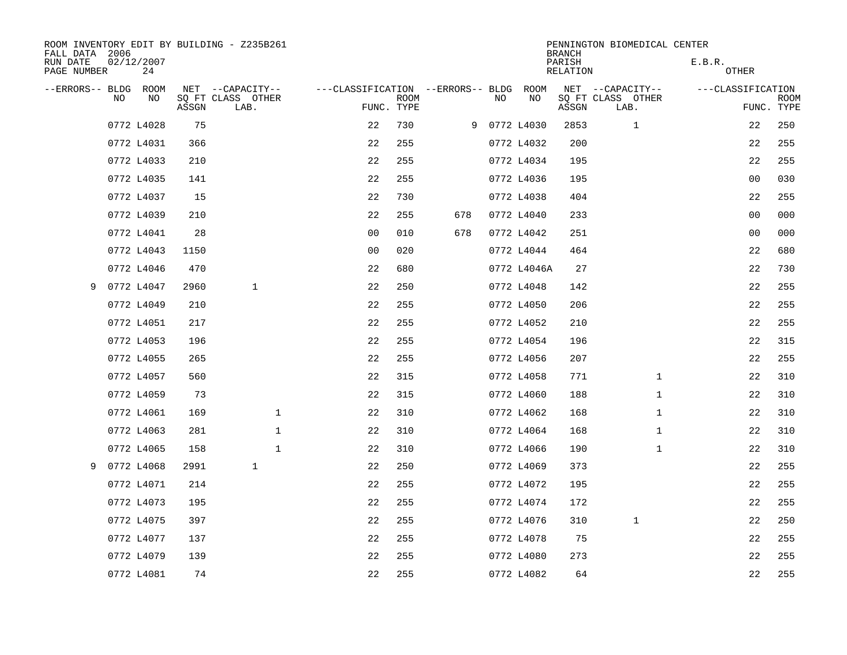| ROOM INVENTORY EDIT BY BUILDING - Z235B261<br>FALL DATA 2006 |              |                  |       |                   |              |              |                |             |                                   |    |              | <b>BRANCH</b>             | PENNINGTON BIOMEDICAL CENTER |              |                   |                           |
|--------------------------------------------------------------|--------------|------------------|-------|-------------------|--------------|--------------|----------------|-------------|-----------------------------------|----|--------------|---------------------------|------------------------------|--------------|-------------------|---------------------------|
| RUN DATE<br>PAGE NUMBER                                      |              | 02/12/2007<br>24 |       |                   |              |              |                |             |                                   |    |              | PARISH<br><b>RELATION</b> |                              |              | E.B.R.<br>OTHER   |                           |
| --ERRORS-- BLDG                                              |              | ROOM             |       | NET --CAPACITY--  |              |              |                |             | ---CLASSIFICATION --ERRORS-- BLDG |    | ROOM         |                           | NET --CAPACITY--             |              | ---CLASSIFICATION |                           |
|                                                              | NO.          | NO.              | ASSGN | SO FT CLASS OTHER | LAB.         |              | FUNC. TYPE     | <b>ROOM</b> |                                   | NO | NO           | ASSGN                     | SQ FT CLASS OTHER<br>LAB.    |              |                   | <b>ROOM</b><br>FUNC. TYPE |
|                                                              |              | 0772 L4028       | 75    |                   |              |              | 22             | 730         |                                   |    | 9 0772 L4030 | 2853                      | $\mathbf 1$                  |              | 22                | 250                       |
|                                                              |              | 0772 L4031       | 366   |                   |              |              | 22             | 255         |                                   |    | 0772 L4032   | 200                       |                              |              | 22                | 255                       |
|                                                              |              | 0772 L4033       | 210   |                   |              |              | 22             | 255         |                                   |    | 0772 L4034   | 195                       |                              |              | 22                | 255                       |
|                                                              |              | 0772 L4035       | 141   |                   |              |              | 22             | 255         |                                   |    | 0772 L4036   | 195                       |                              |              | 0 <sub>0</sub>    | 030                       |
|                                                              |              | 0772 L4037       | 15    |                   |              |              | 22             | 730         |                                   |    | 0772 L4038   | 404                       |                              |              | 22                | 255                       |
|                                                              |              | 0772 L4039       | 210   |                   |              |              | 22             | 255         | 678                               |    | 0772 L4040   | 233                       |                              |              | 0 <sub>0</sub>    | 000                       |
|                                                              |              | 0772 L4041       | 28    |                   |              |              | 0 <sub>0</sub> | 010         | 678                               |    | 0772 L4042   | 251                       |                              |              | 0 <sub>0</sub>    | 000                       |
|                                                              |              | 0772 L4043       | 1150  |                   |              |              | 0 <sub>0</sub> | 020         |                                   |    | 0772 L4044   | 464                       |                              |              | 22                | 680                       |
|                                                              |              | 0772 L4046       | 470   |                   |              |              | 22             | 680         |                                   |    | 0772 L4046A  | 27                        |                              |              | 22                | 730                       |
| 9                                                            |              | 0772 L4047       | 2960  |                   | $\mathbf 1$  |              | 22             | 250         |                                   |    | 0772 L4048   | 142                       |                              |              | 22                | 255                       |
|                                                              |              | 0772 L4049       | 210   |                   |              |              | 22             | 255         |                                   |    | 0772 L4050   | 206                       |                              |              | 22                | 255                       |
|                                                              |              | 0772 L4051       | 217   |                   |              |              | 22             | 255         |                                   |    | 0772 L4052   | 210                       |                              |              | 22                | 255                       |
|                                                              |              | 0772 L4053       | 196   |                   |              |              | 22             | 255         |                                   |    | 0772 L4054   | 196                       |                              |              | 22                | 315                       |
|                                                              |              | 0772 L4055       | 265   |                   |              |              | 22             | 255         |                                   |    | 0772 L4056   | 207                       |                              |              | 22                | 255                       |
|                                                              |              | 0772 L4057       | 560   |                   |              |              | 22             | 315         |                                   |    | 0772 L4058   | 771                       |                              | $\mathbf{1}$ | 22                | 310                       |
|                                                              |              | 0772 L4059       | 73    |                   |              |              | 22             | 315         |                                   |    | 0772 L4060   | 188                       |                              | $\mathbf{1}$ | 22                | 310                       |
|                                                              |              | 0772 L4061       | 169   |                   |              | $\mathbf{1}$ | 22             | 310         |                                   |    | 0772 L4062   | 168                       |                              | $\mathbf{1}$ | 22                | 310                       |
|                                                              |              | 0772 L4063       | 281   |                   |              | $\mathbf{1}$ | 22             | 310         |                                   |    | 0772 L4064   | 168                       |                              | $\mathbf{1}$ | 22                | 310                       |
|                                                              |              | 0772 L4065       | 158   |                   |              | $\mathbf{1}$ | 22             | 310         |                                   |    | 0772 L4066   | 190                       |                              | $\mathbf{1}$ | 22                | 310                       |
|                                                              | 9 0772 L4068 |                  | 2991  |                   | $\mathbf{1}$ |              | 22             | 250         |                                   |    | 0772 L4069   | 373                       |                              |              | 22                | 255                       |
|                                                              |              | 0772 L4071       | 214   |                   |              |              | 22             | 255         |                                   |    | 0772 L4072   | 195                       |                              |              | 22                | 255                       |
|                                                              |              | 0772 L4073       | 195   |                   |              |              | 22             | 255         |                                   |    | 0772 L4074   | 172                       |                              |              | 22                | 255                       |
|                                                              |              | 0772 L4075       | 397   |                   |              |              | 22             | 255         |                                   |    | 0772 L4076   | 310                       | $\mathbf 1$                  |              | 22                | 250                       |
|                                                              |              | 0772 L4077       | 137   |                   |              |              | 22             | 255         |                                   |    | 0772 L4078   | 75                        |                              |              | 22                | 255                       |
|                                                              |              | 0772 L4079       | 139   |                   |              |              | 22             | 255         |                                   |    | 0772 L4080   | 273                       |                              |              | 22                | 255                       |
|                                                              |              | 0772 L4081       | 74    |                   |              |              | 22             | 255         |                                   |    | 0772 L4082   | 64                        |                              |              | 22                | 255                       |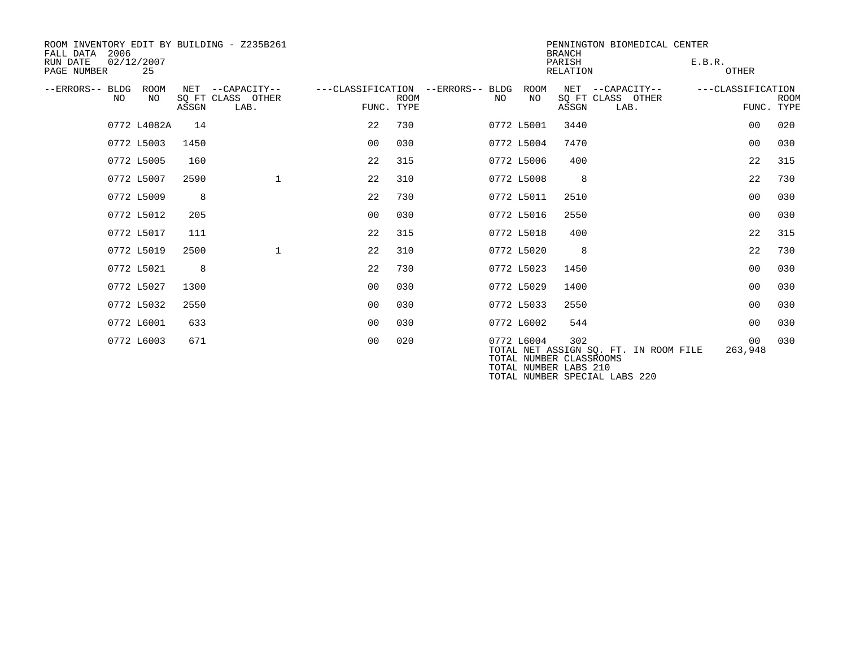| ROOM INVENTORY EDIT BY BUILDING - Z235B261<br>2006<br>FALL DATA |                  |       |                                               |                |             |                                         |            | PENNINGTON BIOMEDICAL CENTER<br><b>BRANCH</b>           |                                                                        |                                 |             |  |  |
|-----------------------------------------------------------------|------------------|-------|-----------------------------------------------|----------------|-------------|-----------------------------------------|------------|---------------------------------------------------------|------------------------------------------------------------------------|---------------------------------|-------------|--|--|
| RUN DATE<br>PAGE NUMBER                                         | 02/12/2007<br>25 |       |                                               |                |             |                                         |            | PARISH<br>RELATION                                      |                                                                        | E.B.R.<br><b>OTHER</b>          |             |  |  |
| --ERRORS-- BLDG<br>NO.                                          | ROOM<br>NO       | ASSGN | NET --CAPACITY--<br>SQ FT CLASS OTHER<br>LAB. | FUNC. TYPE     | <b>ROOM</b> | ---CLASSIFICATION --ERRORS-- BLDG<br>NO | ROOM<br>NO | ASSGN                                                   | NET --CAPACITY--<br>SQ FT CLASS OTHER<br>LAB.                          | ---CLASSIFICATION<br>FUNC. TYPE | <b>ROOM</b> |  |  |
|                                                                 | 0772 L4082A      | 14    |                                               | 22             | 730         |                                         | 0772 L5001 | 3440                                                    |                                                                        | 0 <sub>0</sub>                  | 020         |  |  |
|                                                                 | 0772 L5003       | 1450  |                                               | 00             | 0.30        |                                         | 0772 L5004 | 7470                                                    |                                                                        | 0 <sub>0</sub>                  | 030         |  |  |
|                                                                 | 0772 L5005       | 160   |                                               | 22             | 315         |                                         | 0772 L5006 | 400                                                     |                                                                        | 22                              | 315         |  |  |
|                                                                 | 0772 L5007       | 2590  | $\mathbf 1$                                   | 22             | 310         |                                         | 0772 L5008 | 8                                                       |                                                                        | 22                              | 730         |  |  |
|                                                                 | 0772 L5009       | 8     |                                               | 22             | 730         |                                         | 0772 L5011 | 2510                                                    |                                                                        | 0 <sub>0</sub>                  | 030         |  |  |
|                                                                 | 0772 L5012       | 205   |                                               | 00             | 030         |                                         | 0772 L5016 | 2550                                                    |                                                                        | 0 <sub>0</sub>                  | 030         |  |  |
|                                                                 | 0772 L5017       | 111   |                                               | 22             | 315         |                                         | 0772 L5018 | 400                                                     |                                                                        | 22                              | 315         |  |  |
|                                                                 | 0772 L5019       | 2500  | $\mathbf{1}$                                  | 22             | 310         |                                         | 0772 L5020 | 8                                                       |                                                                        | 22                              | 730         |  |  |
|                                                                 | 0772 L5021       | 8     |                                               | 22             | 730         |                                         | 0772 L5023 | 1450                                                    |                                                                        | 0 <sub>0</sub>                  | 030         |  |  |
|                                                                 | 0772 L5027       | 1300  |                                               | 0 <sub>0</sub> | 030         |                                         | 0772 L5029 | 1400                                                    |                                                                        | 0 <sub>0</sub>                  | 030         |  |  |
|                                                                 | 0772 L5032       | 2550  |                                               | 0 <sub>0</sub> | 030         |                                         | 0772 L5033 | 2550                                                    |                                                                        | 0 <sub>0</sub>                  | 030         |  |  |
|                                                                 | 0772 L6001       | 633   |                                               | 0 <sub>0</sub> | 030         |                                         | 0772 L6002 | 544                                                     |                                                                        | 0 <sub>0</sub>                  | 030         |  |  |
|                                                                 | 0772 L6003       | 671   |                                               | 0 <sub>0</sub> | 020         |                                         | 0772 L6004 | 302<br>TOTAL NUMBER CLASSROOMS<br>TOTAL NUMBER LABS 210 | TOTAL NET ASSIGN SO. FT. IN ROOM FILE<br>TOTAL NUMBER SPECIAL LABS 220 | 00 <sup>o</sup><br>263,948      | 030         |  |  |